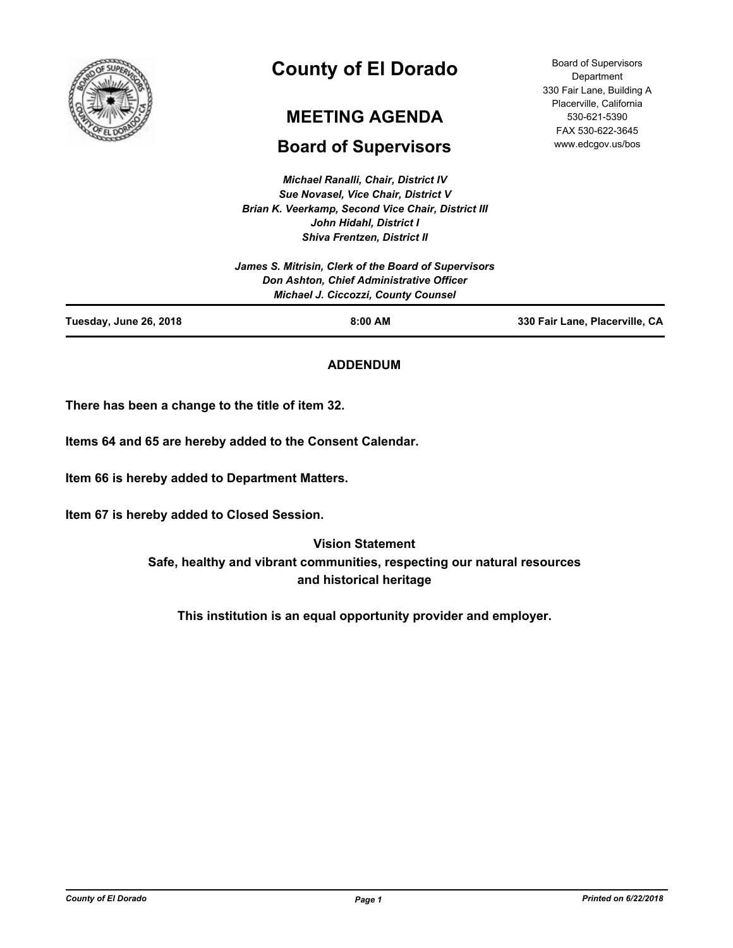

# **County of El Dorado**

# **MEETING AGENDA**

# **Board of Supervisors**

*Michael Ranalli, Chair, District IV Sue Novasel, Vice Chair, District V Brian K. Veerkamp, Second Vice Chair, District III John Hidahl, District I Shiva Frentzen, District II*

|                        | James S. Mitrisin, Clerk of the Board of Supervisors                                   |                                |
|------------------------|----------------------------------------------------------------------------------------|--------------------------------|
|                        | Don Ashton, Chief Administrative Officer<br><b>Michael J. Ciccozzi, County Counsel</b> |                                |
| Tuesday, June 26, 2018 | $8:00$ AM                                                                              | 330 Fair Lane, Placerville, CA |

# **ADDENDUM**

**There has been a change to the title of item 32.**

**Items 64 and 65 are hereby added to the Consent Calendar.**

**Item 66 is hereby added to Department Matters.**

**Item 67 is hereby added to Closed Session.**

**Vision Statement Safe, healthy and vibrant communities, respecting our natural resources and historical heritage**

**This institution is an equal opportunity provider and employer.**

*County of El Dorado Page 1 Printed on 6/22/2018*

Board of Supervisors **Department** 330 Fair Lane, Building A Placerville, California 530-621-5390 FAX 530-622-3645 www.edcgov.us/bos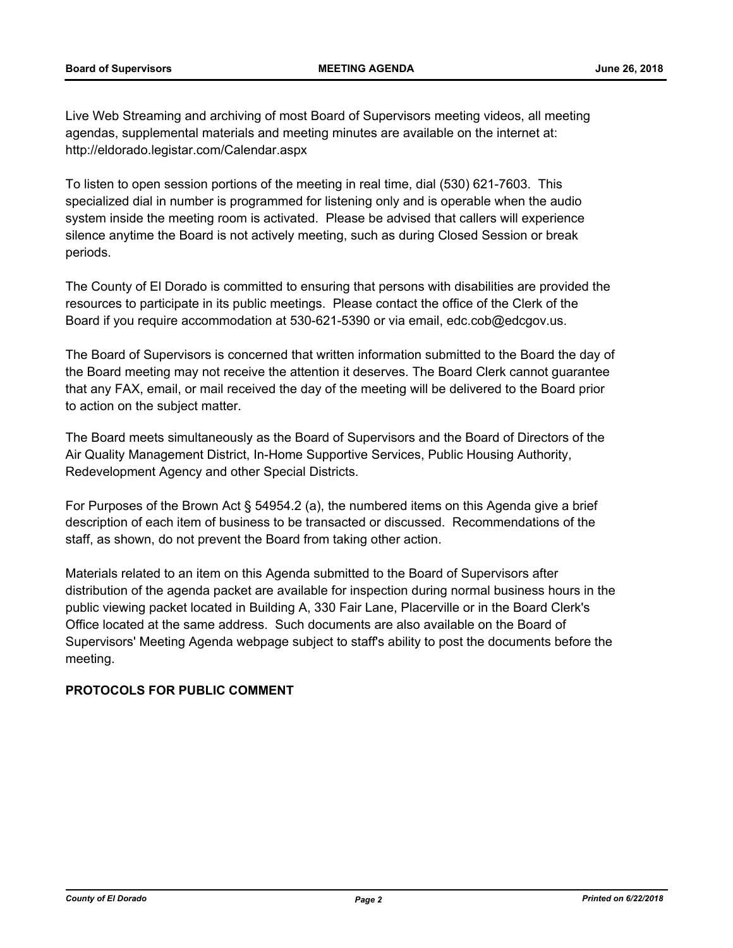Live Web Streaming and archiving of most Board of Supervisors meeting videos, all meeting agendas, supplemental materials and meeting minutes are available on the internet at: http://eldorado.legistar.com/Calendar.aspx

To listen to open session portions of the meeting in real time, dial (530) 621-7603. This specialized dial in number is programmed for listening only and is operable when the audio system inside the meeting room is activated. Please be advised that callers will experience silence anytime the Board is not actively meeting, such as during Closed Session or break periods.

The County of El Dorado is committed to ensuring that persons with disabilities are provided the resources to participate in its public meetings. Please contact the office of the Clerk of the Board if you require accommodation at 530-621-5390 or via email, edc.cob@edcgov.us.

The Board of Supervisors is concerned that written information submitted to the Board the day of the Board meeting may not receive the attention it deserves. The Board Clerk cannot guarantee that any FAX, email, or mail received the day of the meeting will be delivered to the Board prior to action on the subject matter.

The Board meets simultaneously as the Board of Supervisors and the Board of Directors of the Air Quality Management District, In-Home Supportive Services, Public Housing Authority, Redevelopment Agency and other Special Districts.

For Purposes of the Brown Act § 54954.2 (a), the numbered items on this Agenda give a brief description of each item of business to be transacted or discussed. Recommendations of the staff, as shown, do not prevent the Board from taking other action.

Materials related to an item on this Agenda submitted to the Board of Supervisors after distribution of the agenda packet are available for inspection during normal business hours in the public viewing packet located in Building A, 330 Fair Lane, Placerville or in the Board Clerk's Office located at the same address. Such documents are also available on the Board of Supervisors' Meeting Agenda webpage subject to staff's ability to post the documents before the meeting.

# **PROTOCOLS FOR PUBLIC COMMENT**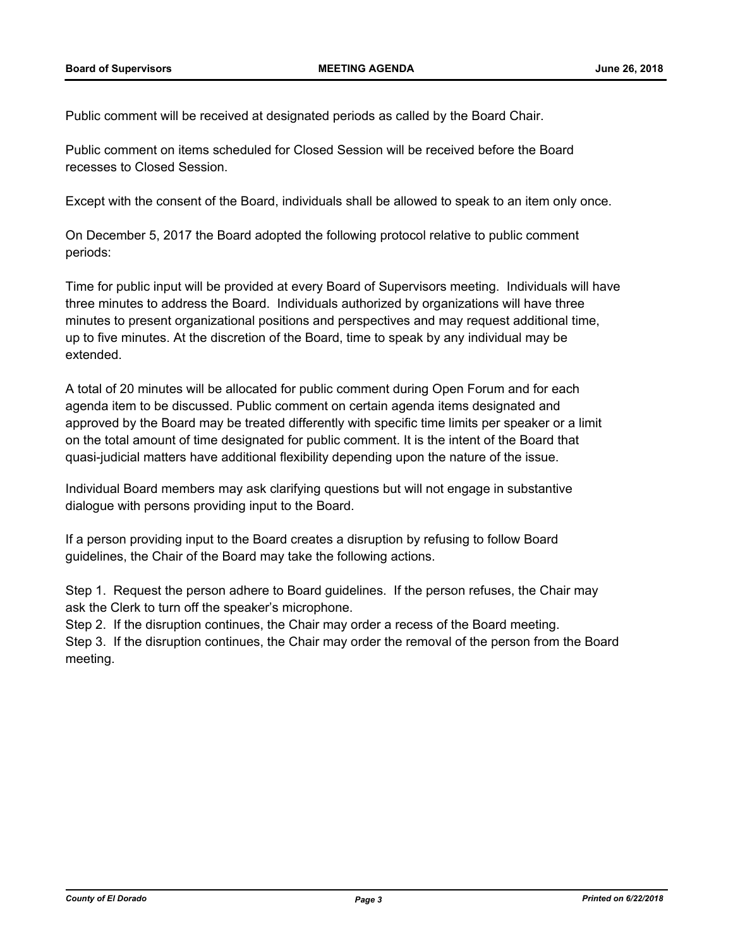Public comment will be received at designated periods as called by the Board Chair.

Public comment on items scheduled for Closed Session will be received before the Board recesses to Closed Session.

Except with the consent of the Board, individuals shall be allowed to speak to an item only once.

On December 5, 2017 the Board adopted the following protocol relative to public comment periods:

Time for public input will be provided at every Board of Supervisors meeting. Individuals will have three minutes to address the Board. Individuals authorized by organizations will have three minutes to present organizational positions and perspectives and may request additional time, up to five minutes. At the discretion of the Board, time to speak by any individual may be extended.

A total of 20 minutes will be allocated for public comment during Open Forum and for each agenda item to be discussed. Public comment on certain agenda items designated and approved by the Board may be treated differently with specific time limits per speaker or a limit on the total amount of time designated for public comment. It is the intent of the Board that quasi-judicial matters have additional flexibility depending upon the nature of the issue.

Individual Board members may ask clarifying questions but will not engage in substantive dialogue with persons providing input to the Board.

If a person providing input to the Board creates a disruption by refusing to follow Board guidelines, the Chair of the Board may take the following actions.

Step 1. Request the person adhere to Board guidelines. If the person refuses, the Chair may ask the Clerk to turn off the speaker's microphone.

Step 2. If the disruption continues, the Chair may order a recess of the Board meeting.

Step 3. If the disruption continues, the Chair may order the removal of the person from the Board meeting.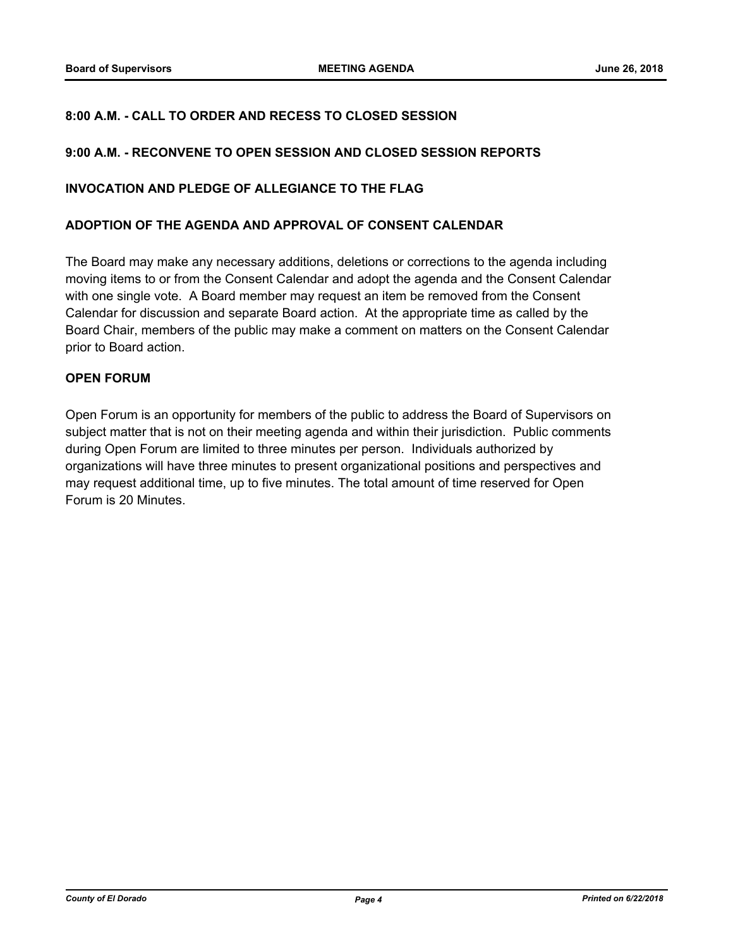# **8:00 A.M. - CALL TO ORDER AND RECESS TO CLOSED SESSION**

#### **9:00 A.M. - RECONVENE TO OPEN SESSION AND CLOSED SESSION REPORTS**

#### **INVOCATION AND PLEDGE OF ALLEGIANCE TO THE FLAG**

#### **ADOPTION OF THE AGENDA AND APPROVAL OF CONSENT CALENDAR**

The Board may make any necessary additions, deletions or corrections to the agenda including moving items to or from the Consent Calendar and adopt the agenda and the Consent Calendar with one single vote. A Board member may request an item be removed from the Consent Calendar for discussion and separate Board action. At the appropriate time as called by the Board Chair, members of the public may make a comment on matters on the Consent Calendar prior to Board action.

### **OPEN FORUM**

Open Forum is an opportunity for members of the public to address the Board of Supervisors on subject matter that is not on their meeting agenda and within their jurisdiction. Public comments during Open Forum are limited to three minutes per person. Individuals authorized by organizations will have three minutes to present organizational positions and perspectives and may request additional time, up to five minutes. The total amount of time reserved for Open Forum is 20 Minutes.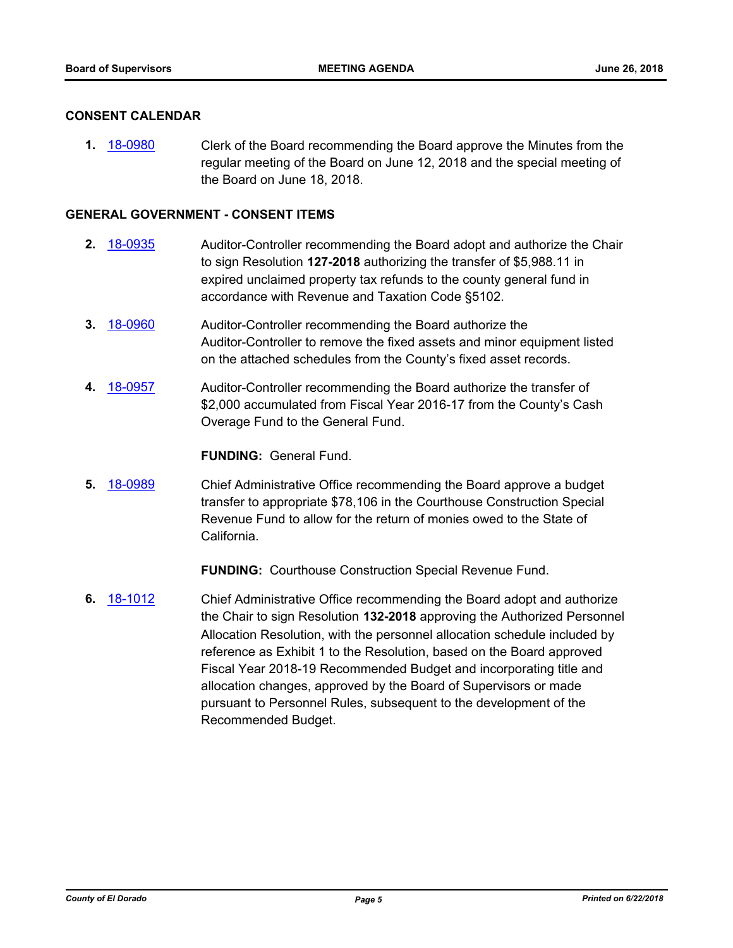#### **CONSENT CALENDAR**

**1.** [18-0980](http://eldorado.legistar.com/gateway.aspx?m=l&id=/matter.aspx?key=24328) Clerk of the Board recommending the Board approve the Minutes from the regular meeting of the Board on June 12, 2018 and the special meeting of the Board on June 18, 2018.

#### **GENERAL GOVERNMENT - CONSENT ITEMS**

- **2.** [18-0935](http://eldorado.legistar.com/gateway.aspx?m=l&id=/matter.aspx?key=24283) Auditor-Controller recommending the Board adopt and authorize the Chair to sign Resolution **127-2018** authorizing the transfer of \$5,988.11 in expired unclaimed property tax refunds to the county general fund in accordance with Revenue and Taxation Code §5102.
- **3.** [18-0960](http://eldorado.legistar.com/gateway.aspx?m=l&id=/matter.aspx?key=24308) Auditor-Controller recommending the Board authorize the Auditor-Controller to remove the fixed assets and minor equipment listed on the attached schedules from the County's fixed asset records.
- **4.** [18-0957](http://eldorado.legistar.com/gateway.aspx?m=l&id=/matter.aspx?key=24305) Auditor-Controller recommending the Board authorize the transfer of \$2,000 accumulated from Fiscal Year 2016-17 from the County's Cash Overage Fund to the General Fund.

#### **FUNDING:** General Fund.

**5.** [18-0989](http://eldorado.legistar.com/gateway.aspx?m=l&id=/matter.aspx?key=24337) Chief Administrative Office recommending the Board approve a budget transfer to appropriate \$78,106 in the Courthouse Construction Special Revenue Fund to allow for the return of monies owed to the State of California.

**FUNDING:** Courthouse Construction Special Revenue Fund.

**6.** [18-1012](http://eldorado.legistar.com/gateway.aspx?m=l&id=/matter.aspx?key=24361) Chief Administrative Office recommending the Board adopt and authorize the Chair to sign Resolution **132-2018** approving the Authorized Personnel Allocation Resolution, with the personnel allocation schedule included by reference as Exhibit 1 to the Resolution, based on the Board approved Fiscal Year 2018-19 Recommended Budget and incorporating title and allocation changes, approved by the Board of Supervisors or made pursuant to Personnel Rules, subsequent to the development of the Recommended Budget.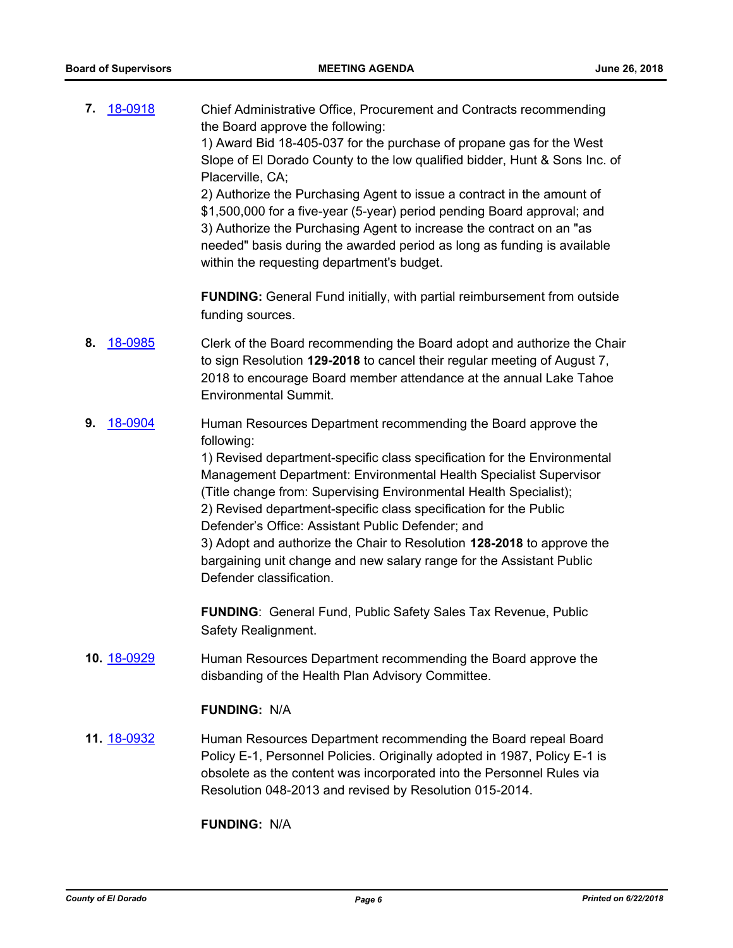| 7. | 18-0918     | Chief Administrative Office, Procurement and Contracts recommending<br>the Board approve the following:<br>1) Award Bid 18-405-037 for the purchase of propane gas for the West<br>Slope of El Dorado County to the low qualified bidder, Hunt & Sons Inc. of<br>Placerville, CA;<br>2) Authorize the Purchasing Agent to issue a contract in the amount of<br>\$1,500,000 for a five-year (5-year) period pending Board approval; and<br>3) Authorize the Purchasing Agent to increase the contract on an "as<br>needed" basis during the awarded period as long as funding is available<br>within the requesting department's budget. |
|----|-------------|-----------------------------------------------------------------------------------------------------------------------------------------------------------------------------------------------------------------------------------------------------------------------------------------------------------------------------------------------------------------------------------------------------------------------------------------------------------------------------------------------------------------------------------------------------------------------------------------------------------------------------------------|
|    |             | <b>FUNDING:</b> General Fund initially, with partial reimbursement from outside<br>funding sources.                                                                                                                                                                                                                                                                                                                                                                                                                                                                                                                                     |
| 8. | 18-0985     | Clerk of the Board recommending the Board adopt and authorize the Chair<br>to sign Resolution 129-2018 to cancel their regular meeting of August 7,<br>2018 to encourage Board member attendance at the annual Lake Tahoe<br><b>Environmental Summit.</b>                                                                                                                                                                                                                                                                                                                                                                               |
| 9. | 18-0904     | Human Resources Department recommending the Board approve the<br>following:<br>1) Revised department-specific class specification for the Environmental<br>Management Department: Environmental Health Specialist Supervisor<br>(Title change from: Supervising Environmental Health Specialist);<br>2) Revised department-specific class specification for the Public<br>Defender's Office: Assistant Public Defender; and<br>3) Adopt and authorize the Chair to Resolution 128-2018 to approve the<br>bargaining unit change and new salary range for the Assistant Public<br>Defender classification.                               |
|    |             | <b>FUNDING:</b> General Fund, Public Safety Sales Tax Revenue, Public<br>Safety Realignment.                                                                                                                                                                                                                                                                                                                                                                                                                                                                                                                                            |
|    | 10. 18-0929 | Human Resources Department recommending the Board approve the<br>disbanding of the Health Plan Advisory Committee.                                                                                                                                                                                                                                                                                                                                                                                                                                                                                                                      |
|    |             | <b>FUNDING: N/A</b>                                                                                                                                                                                                                                                                                                                                                                                                                                                                                                                                                                                                                     |
|    | 11. 18-0932 | Human Resources Department recommending the Board repeal Board<br>Policy E-1, Personnel Policies. Originally adopted in 1987, Policy E-1 is<br>obsolete as the content was incorporated into the Personnel Rules via<br>Resolution 048-2013 and revised by Resolution 015-2014.                                                                                                                                                                                                                                                                                                                                                         |
|    |             | <b>FUNDING: N/A</b>                                                                                                                                                                                                                                                                                                                                                                                                                                                                                                                                                                                                                     |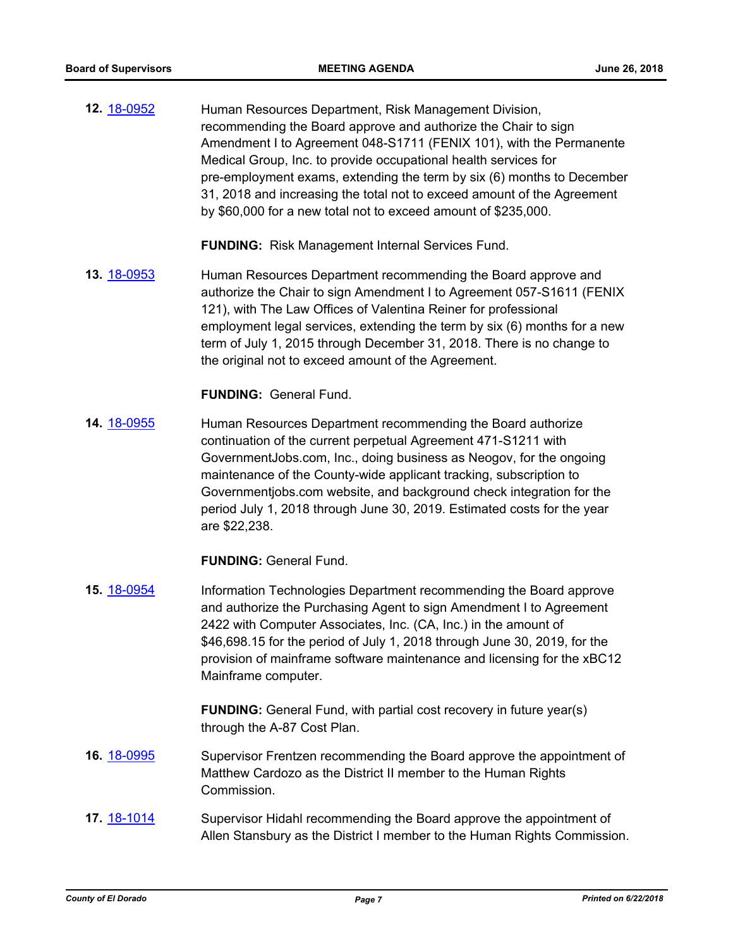**12.** [18-0952](http://eldorado.legistar.com/gateway.aspx?m=l&id=/matter.aspx?key=24300) Human Resources Department, Risk Management Division, recommending the Board approve and authorize the Chair to sign Amendment I to Agreement 048-S1711 (FENIX 101), with the Permanente Medical Group, Inc. to provide occupational health services for pre-employment exams, extending the term by six (6) months to December 31, 2018 and increasing the total not to exceed amount of the Agreement by \$60,000 for a new total not to exceed amount of \$235,000.

**FUNDING:** Risk Management Internal Services Fund.

**13.** [18-0953](http://eldorado.legistar.com/gateway.aspx?m=l&id=/matter.aspx?key=24301) Human Resources Department recommending the Board approve and authorize the Chair to sign Amendment I to Agreement 057-S1611 (FENIX 121), with The Law Offices of Valentina Reiner for professional employment legal services, extending the term by six (6) months for a new term of July 1, 2015 through December 31, 2018. There is no change to the original not to exceed amount of the Agreement.

**FUNDING:** General Fund.

**14.** [18-0955](http://eldorado.legistar.com/gateway.aspx?m=l&id=/matter.aspx?key=24303) Human Resources Department recommending the Board authorize continuation of the current perpetual Agreement 471-S1211 with GovernmentJobs.com, Inc., doing business as Neogov, for the ongoing maintenance of the County-wide applicant tracking, subscription to Governmentjobs.com website, and background check integration for the period July 1, 2018 through June 30, 2019. Estimated costs for the year are \$22,238.

**FUNDING:** General Fund.

**15.** [18-0954](http://eldorado.legistar.com/gateway.aspx?m=l&id=/matter.aspx?key=24302) Information Technologies Department recommending the Board approve and authorize the Purchasing Agent to sign Amendment I to Agreement 2422 with Computer Associates, Inc. (CA, Inc.) in the amount of \$46,698.15 for the period of July 1, 2018 through June 30, 2019, for the provision of mainframe software maintenance and licensing for the xBC12 Mainframe computer.

> **FUNDING:** General Fund, with partial cost recovery in future year(s) through the A-87 Cost Plan.

- **16.** [18-0995](http://eldorado.legistar.com/gateway.aspx?m=l&id=/matter.aspx?key=24344) Supervisor Frentzen recommending the Board approve the appointment of Matthew Cardozo as the District II member to the Human Rights Commission.
- **17.** [18-1014](http://eldorado.legistar.com/gateway.aspx?m=l&id=/matter.aspx?key=24363) Supervisor Hidahl recommending the Board approve the appointment of Allen Stansbury as the District I member to the Human Rights Commission.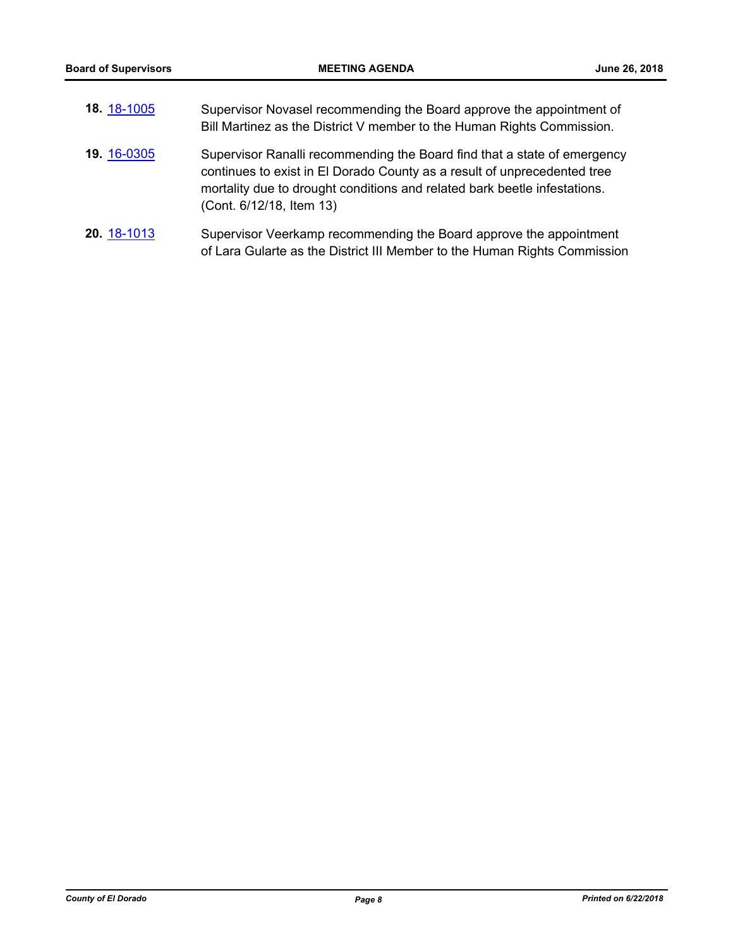| 18. 18-1005 | Supervisor Novasel recommending the Board approve the appointment of<br>Bill Martinez as the District V member to the Human Rights Commission.                                                                                                                |
|-------------|---------------------------------------------------------------------------------------------------------------------------------------------------------------------------------------------------------------------------------------------------------------|
| 19. 16-0305 | Supervisor Ranalli recommending the Board find that a state of emergency<br>continues to exist in El Dorado County as a result of unprecedented tree<br>mortality due to drought conditions and related bark beetle infestations.<br>(Cont. 6/12/18, Item 13) |
| 20. 18-1013 | Supervisor Veerkamp recommending the Board approve the appointment<br>of Lara Gularte as the District III Member to the Human Rights Commission                                                                                                               |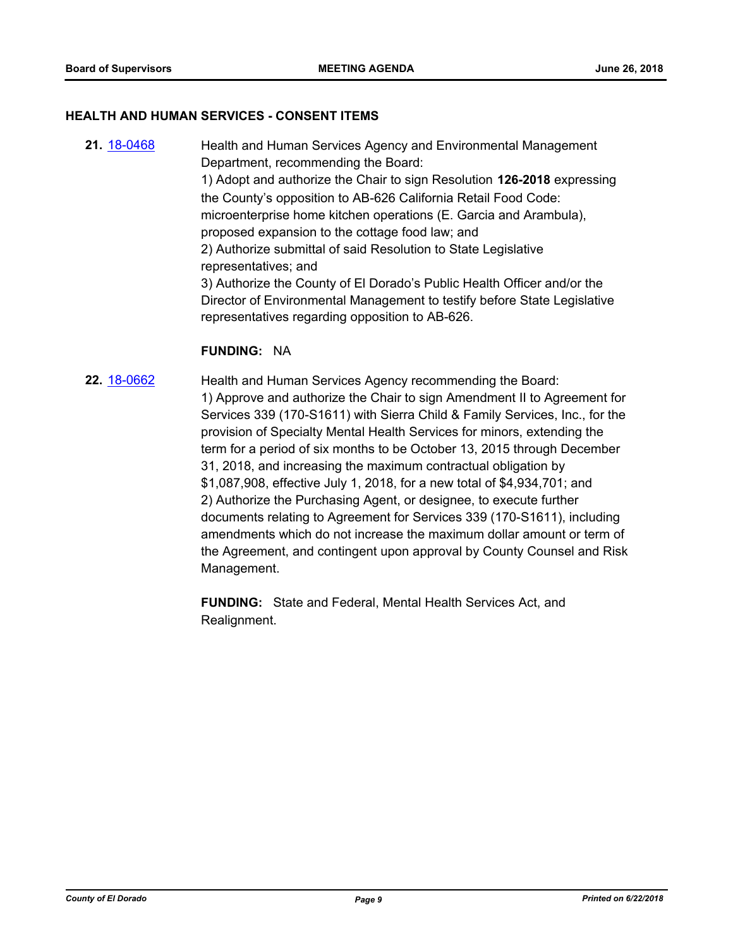#### **HEALTH AND HUMAN SERVICES - CONSENT ITEMS**

**21.** [18-0468](http://eldorado.legistar.com/gateway.aspx?m=l&id=/matter.aspx?key=23813) Health and Human Services Agency and Environmental Management Department, recommending the Board: 1) Adopt and authorize the Chair to sign Resolution **126-2018** expressing the County's opposition to AB-626 California Retail Food Code: microenterprise home kitchen operations (E. Garcia and Arambula), proposed expansion to the cottage food law; and 2) Authorize submittal of said Resolution to State Legislative representatives; and 3) Authorize the County of El Dorado's Public Health Officer and/or the Director of Environmental Management to testify before State Legislative representatives regarding opposition to AB-626.

#### **FUNDING:** NA

**22.** [18-0662](http://eldorado.legistar.com/gateway.aspx?m=l&id=/matter.aspx?key=24007) Health and Human Services Agency recommending the Board: 1) Approve and authorize the Chair to sign Amendment II to Agreement for Services 339 (170-S1611) with Sierra Child & Family Services, Inc., for the provision of Specialty Mental Health Services for minors, extending the term for a period of six months to be October 13, 2015 through December 31, 2018, and increasing the maximum contractual obligation by \$1,087,908, effective July 1, 2018, for a new total of \$4,934,701; and 2) Authorize the Purchasing Agent, or designee, to execute further documents relating to Agreement for Services 339 (170-S1611), including amendments which do not increase the maximum dollar amount or term of the Agreement, and contingent upon approval by County Counsel and Risk Management.

> **FUNDING:** State and Federal, Mental Health Services Act, and Realignment.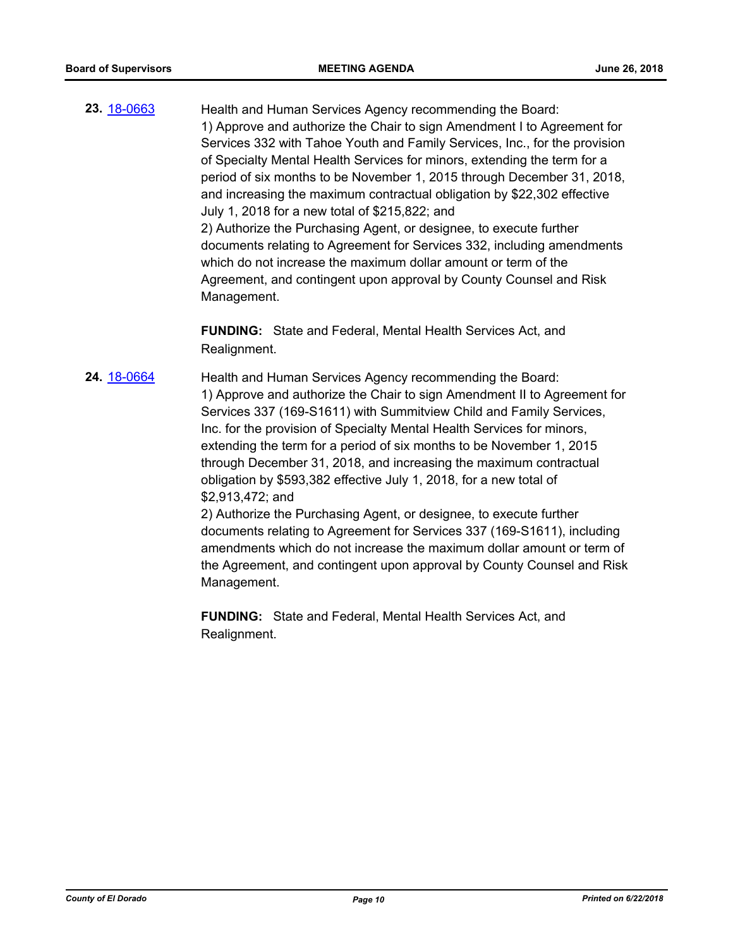**23.** [18-0663](http://eldorado.legistar.com/gateway.aspx?m=l&id=/matter.aspx?key=24008) Health and Human Services Agency recommending the Board: 1) Approve and authorize the Chair to sign Amendment I to Agreement for Services 332 with Tahoe Youth and Family Services, Inc., for the provision of Specialty Mental Health Services for minors, extending the term for a period of six months to be November 1, 2015 through December 31, 2018, and increasing the maximum contractual obligation by \$22,302 effective July 1, 2018 for a new total of \$215,822; and 2) Authorize the Purchasing Agent, or designee, to execute further documents relating to Agreement for Services 332, including amendments which do not increase the maximum dollar amount or term of the Agreement, and contingent upon approval by County Counsel and Risk Management.

> **FUNDING:** State and Federal, Mental Health Services Act, and Realignment.

**24.** [18-0664](http://eldorado.legistar.com/gateway.aspx?m=l&id=/matter.aspx?key=24009) Health and Human Services Agency recommending the Board: 1) Approve and authorize the Chair to sign Amendment II to Agreement for Services 337 (169-S1611) with Summitview Child and Family Services, Inc. for the provision of Specialty Mental Health Services for minors, extending the term for a period of six months to be November 1, 2015 through December 31, 2018, and increasing the maximum contractual obligation by \$593,382 effective July 1, 2018, for a new total of \$2,913,472; and 2) Authorize the Purchasing Agent, or designee, to execute further

documents relating to Agreement for Services 337 (169-S1611), including amendments which do not increase the maximum dollar amount or term of the Agreement, and contingent upon approval by County Counsel and Risk Management.

**FUNDING:** State and Federal, Mental Health Services Act, and Realignment.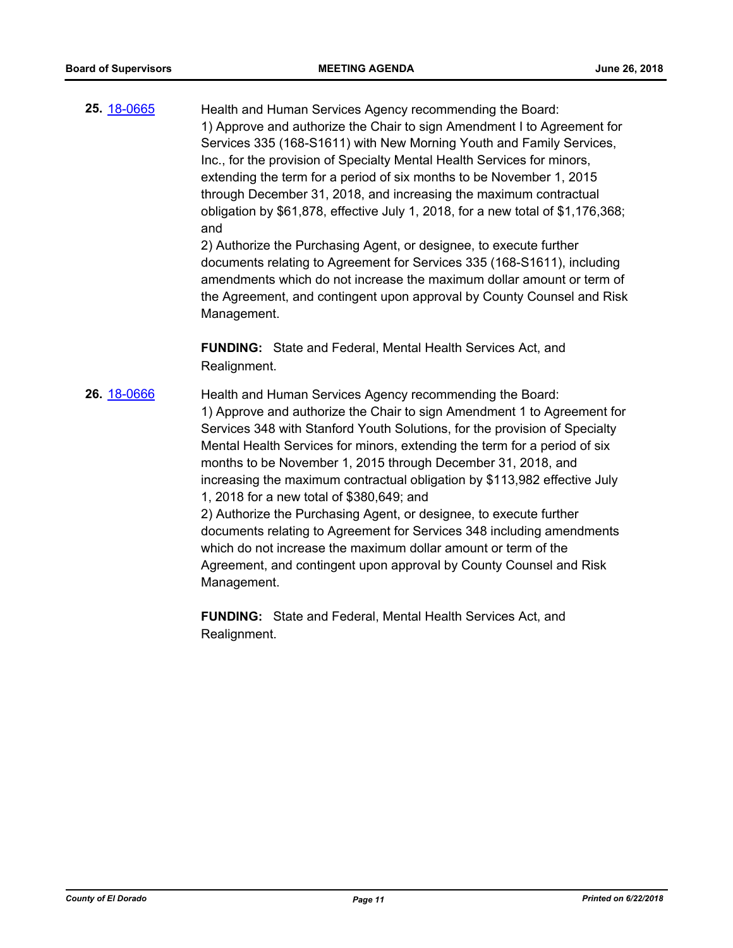**25.** [18-0665](http://eldorado.legistar.com/gateway.aspx?m=l&id=/matter.aspx?key=24010) Health and Human Services Agency recommending the Board: 1) Approve and authorize the Chair to sign Amendment I to Agreement for Services 335 (168-S1611) with New Morning Youth and Family Services, Inc., for the provision of Specialty Mental Health Services for minors, extending the term for a period of six months to be November 1, 2015 through December 31, 2018, and increasing the maximum contractual obligation by \$61,878, effective July 1, 2018, for a new total of \$1,176,368; and

2) Authorize the Purchasing Agent, or designee, to execute further documents relating to Agreement for Services 335 (168-S1611), including amendments which do not increase the maximum dollar amount or term of the Agreement, and contingent upon approval by County Counsel and Risk Management.

**FUNDING:** State and Federal, Mental Health Services Act, and Realignment.

**26.** [18-0666](http://eldorado.legistar.com/gateway.aspx?m=l&id=/matter.aspx?key=24011) Health and Human Services Agency recommending the Board: 1) Approve and authorize the Chair to sign Amendment 1 to Agreement for Services 348 with Stanford Youth Solutions, for the provision of Specialty Mental Health Services for minors, extending the term for a period of six months to be November 1, 2015 through December 31, 2018, and increasing the maximum contractual obligation by \$113,982 effective July 1, 2018 for a new total of \$380,649; and

2) Authorize the Purchasing Agent, or designee, to execute further documents relating to Agreement for Services 348 including amendments which do not increase the maximum dollar amount or term of the Agreement, and contingent upon approval by County Counsel and Risk Management.

**FUNDING:** State and Federal, Mental Health Services Act, and Realignment.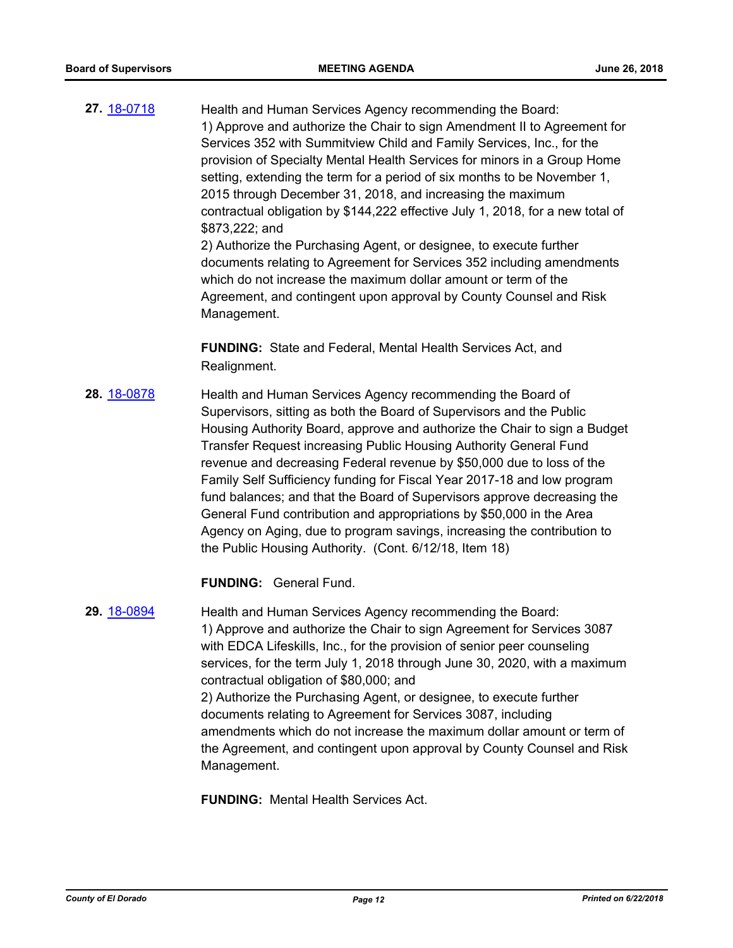**27.** [18-0718](http://eldorado.legistar.com/gateway.aspx?m=l&id=/matter.aspx?key=24064) Health and Human Services Agency recommending the Board: 1) Approve and authorize the Chair to sign Amendment II to Agreement for Services 352 with Summitview Child and Family Services, Inc., for the provision of Specialty Mental Health Services for minors in a Group Home setting, extending the term for a period of six months to be November 1, 2015 through December 31, 2018, and increasing the maximum contractual obligation by \$144,222 effective July 1, 2018, for a new total of \$873,222; and 2) Authorize the Purchasing Agent, or designee, to execute further documents relating to Agreement for Services 352 including amendments

which do not increase the maximum dollar amount or term of the Agreement, and contingent upon approval by County Counsel and Risk Management.

**FUNDING:** State and Federal, Mental Health Services Act, and Realignment.

**28.** [18-0878](http://eldorado.legistar.com/gateway.aspx?m=l&id=/matter.aspx?key=24225) Health and Human Services Agency recommending the Board of Supervisors, sitting as both the Board of Supervisors and the Public Housing Authority Board, approve and authorize the Chair to sign a Budget Transfer Request increasing Public Housing Authority General Fund revenue and decreasing Federal revenue by \$50,000 due to loss of the Family Self Sufficiency funding for Fiscal Year 2017-18 and low program fund balances; and that the Board of Supervisors approve decreasing the General Fund contribution and appropriations by \$50,000 in the Area Agency on Aging, due to program savings, increasing the contribution to the Public Housing Authority. (Cont. 6/12/18, Item 18)

**FUNDING:** General Fund.

**29.** [18-0894](http://eldorado.legistar.com/gateway.aspx?m=l&id=/matter.aspx?key=24241) Health and Human Services Agency recommending the Board: 1) Approve and authorize the Chair to sign Agreement for Services 3087 with EDCA Lifeskills, Inc., for the provision of senior peer counseling services, for the term July 1, 2018 through June 30, 2020, with a maximum contractual obligation of \$80,000; and 2) Authorize the Purchasing Agent, or designee, to execute further documents relating to Agreement for Services 3087, including amendments which do not increase the maximum dollar amount or term of the Agreement, and contingent upon approval by County Counsel and Risk Management.

**FUNDING:** Mental Health Services Act.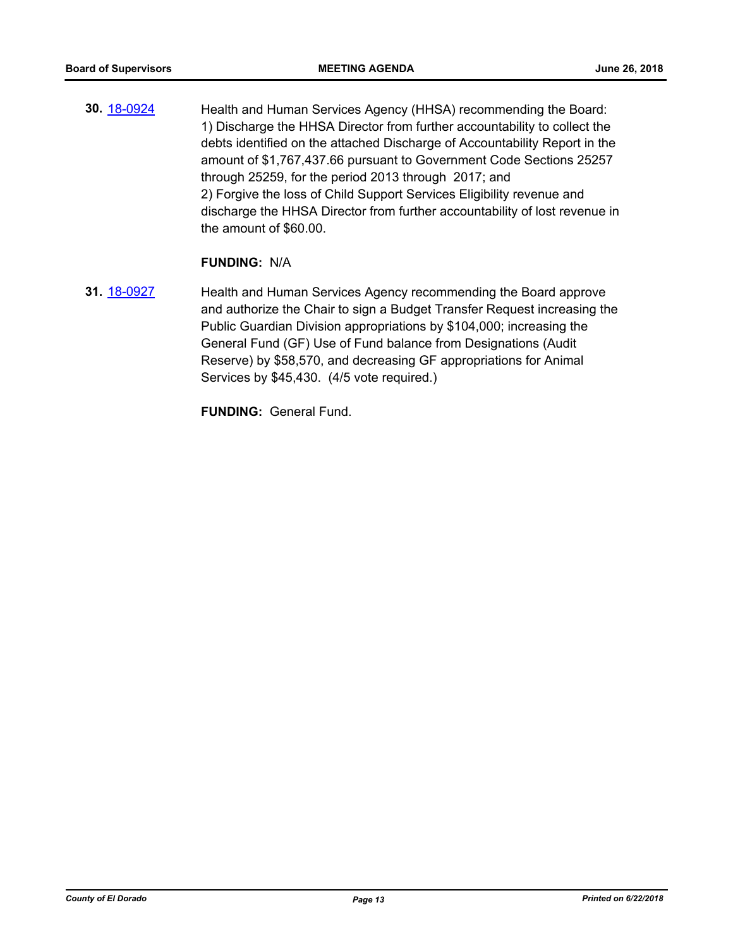**30.** [18-0924](http://eldorado.legistar.com/gateway.aspx?m=l&id=/matter.aspx?key=24272) Health and Human Services Agency (HHSA) recommending the Board: 1) Discharge the HHSA Director from further accountability to collect the debts identified on the attached Discharge of Accountability Report in the amount of \$1,767,437.66 pursuant to Government Code Sections 25257 through 25259, for the period 2013 through 2017; and 2) Forgive the loss of Child Support Services Eligibility revenue and discharge the HHSA Director from further accountability of lost revenue in the amount of \$60.00.

#### **FUNDING:** N/A

**31.** [18-0927](http://eldorado.legistar.com/gateway.aspx?m=l&id=/matter.aspx?key=24275) Health and Human Services Agency recommending the Board approve and authorize the Chair to sign a Budget Transfer Request increasing the Public Guardian Division appropriations by \$104,000; increasing the General Fund (GF) Use of Fund balance from Designations (Audit Reserve) by \$58,570, and decreasing GF appropriations for Animal Services by \$45,430. (4/5 vote required.)

**FUNDING:** General Fund.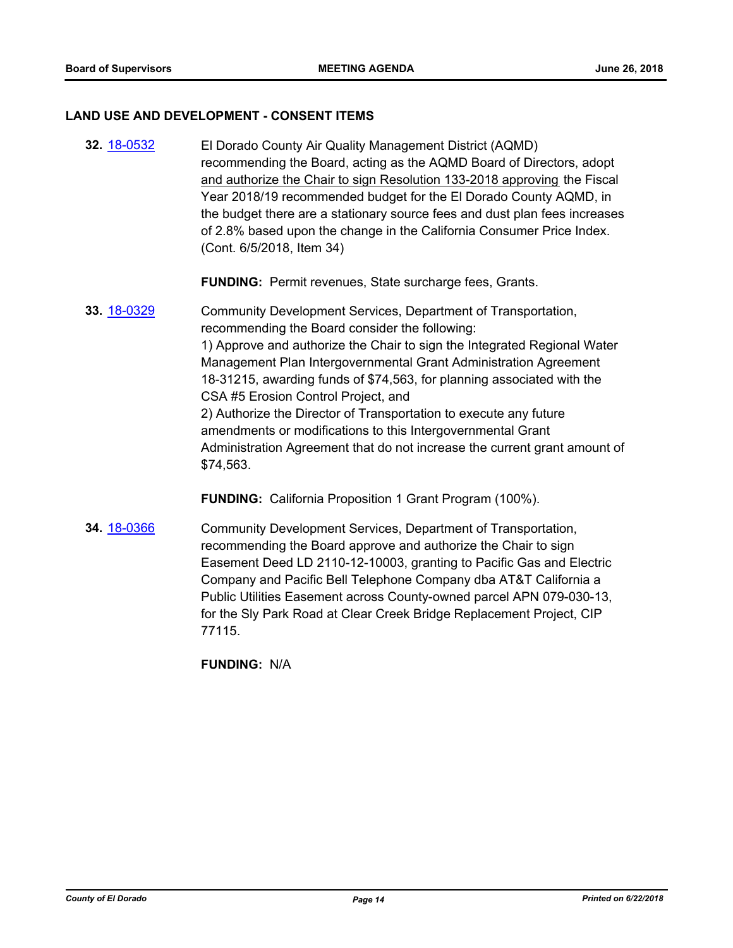#### **LAND USE AND DEVELOPMENT - CONSENT ITEMS**

**32.** [18-0532](http://eldorado.legistar.com/gateway.aspx?m=l&id=/matter.aspx?key=23877) El Dorado County Air Quality Management District (AQMD) recommending the Board, acting as the AQMD Board of Directors, adopt and authorize the Chair to sign Resolution 133-2018 approving the Fiscal Year 2018/19 recommended budget for the El Dorado County AQMD, in the budget there are a stationary source fees and dust plan fees increases of 2.8% based upon the change in the California Consumer Price Index. (Cont. 6/5/2018, Item 34)

**FUNDING:** Permit revenues, State surcharge fees, Grants.

**33.** [18-0329](http://eldorado.legistar.com/gateway.aspx?m=l&id=/matter.aspx?key=23672) Community Development Services, Department of Transportation, recommending the Board consider the following: 1) Approve and authorize the Chair to sign the Integrated Regional Water Management Plan Intergovernmental Grant Administration Agreement 18-31215, awarding funds of \$74,563, for planning associated with the CSA #5 Erosion Control Project, and 2) Authorize the Director of Transportation to execute any future amendments or modifications to this Intergovernmental Grant Administration Agreement that do not increase the current grant amount of \$74,563.

**FUNDING:** California Proposition 1 Grant Program (100%).

**34.** [18-0366](http://eldorado.legistar.com/gateway.aspx?m=l&id=/matter.aspx?key=23709) Community Development Services, Department of Transportation, recommending the Board approve and authorize the Chair to sign Easement Deed LD 2110-12-10003, granting to Pacific Gas and Electric Company and Pacific Bell Telephone Company dba AT&T California a Public Utilities Easement across County-owned parcel APN 079-030-13, for the Sly Park Road at Clear Creek Bridge Replacement Project, CIP 77115.

**FUNDING:** N/A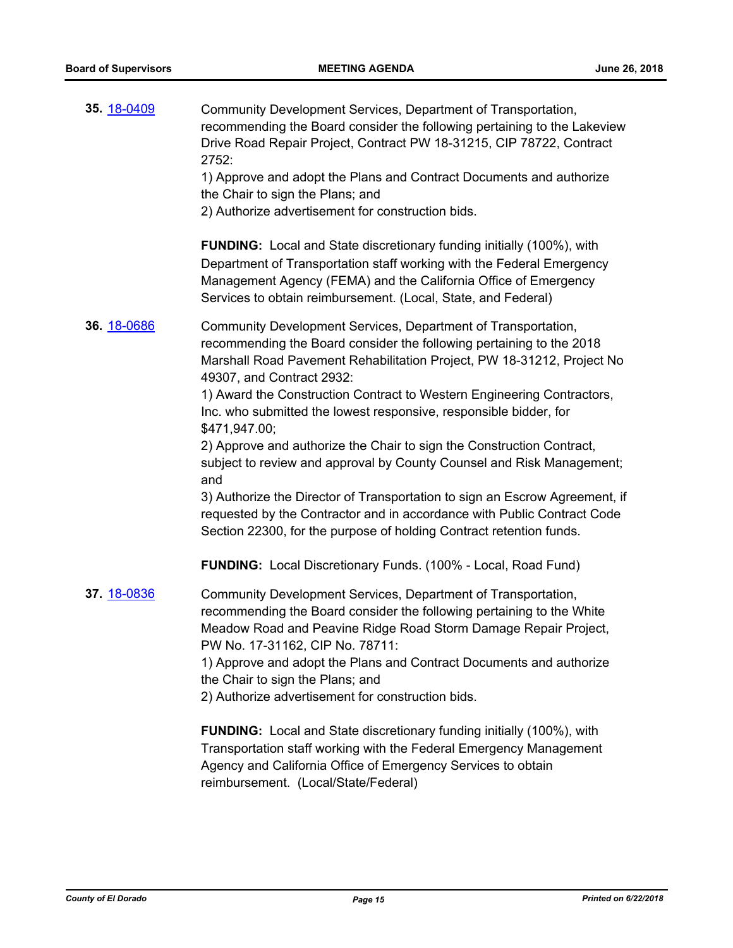| 35. 18-0409 | Community Development Services, Department of Transportation,<br>recommending the Board consider the following pertaining to the Lakeview<br>Drive Road Repair Project, Contract PW 18-31215, CIP 78722, Contract<br>2752:<br>1) Approve and adopt the Plans and Contract Documents and authorize<br>the Chair to sign the Plans; and<br>2) Authorize advertisement for construction bids.                                                                                                                                                                                                                                                                                                                                                                                                             |
|-------------|--------------------------------------------------------------------------------------------------------------------------------------------------------------------------------------------------------------------------------------------------------------------------------------------------------------------------------------------------------------------------------------------------------------------------------------------------------------------------------------------------------------------------------------------------------------------------------------------------------------------------------------------------------------------------------------------------------------------------------------------------------------------------------------------------------|
|             | <b>FUNDING:</b> Local and State discretionary funding initially (100%), with<br>Department of Transportation staff working with the Federal Emergency<br>Management Agency (FEMA) and the California Office of Emergency<br>Services to obtain reimbursement. (Local, State, and Federal)                                                                                                                                                                                                                                                                                                                                                                                                                                                                                                              |
| 36. 18-0686 | Community Development Services, Department of Transportation,<br>recommending the Board consider the following pertaining to the 2018<br>Marshall Road Pavement Rehabilitation Project, PW 18-31212, Project No<br>49307, and Contract 2932:<br>1) Award the Construction Contract to Western Engineering Contractors,<br>Inc. who submitted the lowest responsive, responsible bidder, for<br>\$471,947.00;<br>2) Approve and authorize the Chair to sign the Construction Contract,<br>subject to review and approval by County Counsel and Risk Management;<br>and<br>3) Authorize the Director of Transportation to sign an Escrow Agreement, if<br>requested by the Contractor and in accordance with Public Contract Code<br>Section 22300, for the purpose of holding Contract retention funds. |
| 37. 18-0836 | <b>FUNDING:</b> Local Discretionary Funds. (100% - Local, Road Fund)<br>Community Development Services, Department of Transportation,<br>recommending the Board consider the following pertaining to the White<br>Meadow Road and Peavine Ridge Road Storm Damage Repair Project,<br>PW No. 17-31162, CIP No. 78711:<br>1) Approve and adopt the Plans and Contract Documents and authorize<br>the Chair to sign the Plans; and<br>2) Authorize advertisement for construction bids.<br><b>FUNDING:</b> Local and State discretionary funding initially (100%), with<br>Transportation staff working with the Federal Emergency Management<br>Agency and California Office of Emergency Services to obtain<br>reimbursement. (Local/State/Federal)                                                     |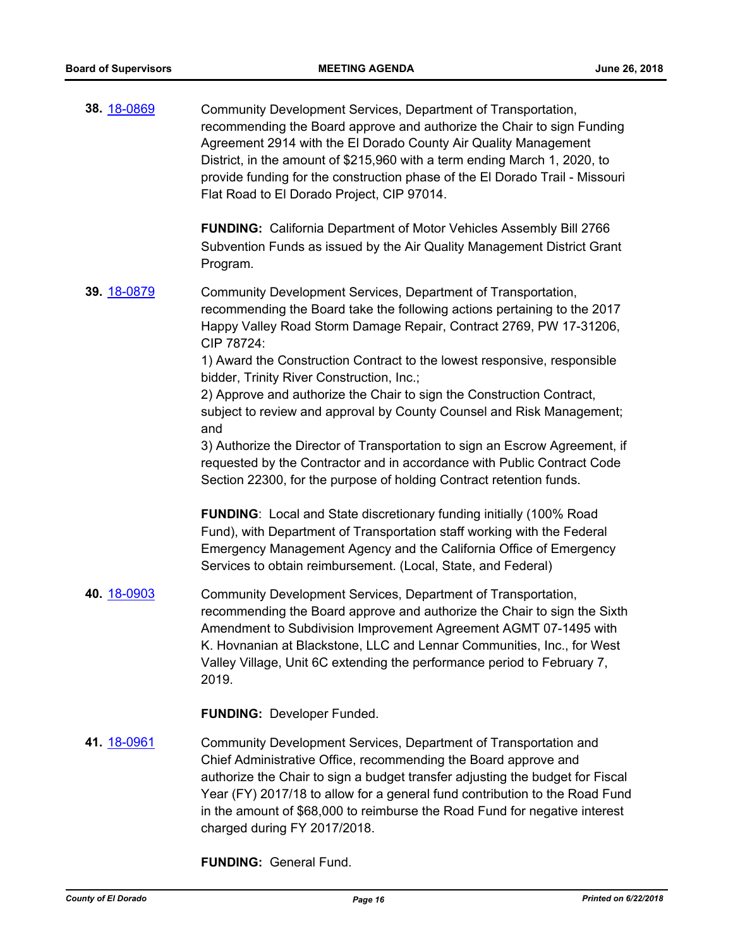**38.** [18-0869](http://eldorado.legistar.com/gateway.aspx?m=l&id=/matter.aspx?key=24216) Community Development Services, Department of Transportation, recommending the Board approve and authorize the Chair to sign Funding Agreement 2914 with the El Dorado County Air Quality Management District, in the amount of \$215,960 with a term ending March 1, 2020, to provide funding for the construction phase of the El Dorado Trail - Missouri Flat Road to El Dorado Project, CIP 97014.

> **FUNDING:** California Department of Motor Vehicles Assembly Bill 2766 Subvention Funds as issued by the Air Quality Management District Grant Program.

**39.** [18-0879](http://eldorado.legistar.com/gateway.aspx?m=l&id=/matter.aspx?key=24226) Community Development Services, Department of Transportation, recommending the Board take the following actions pertaining to the 2017 Happy Valley Road Storm Damage Repair, Contract 2769, PW 17-31206, CIP 78724:

> 1) Award the Construction Contract to the lowest responsive, responsible bidder, Trinity River Construction, Inc.;

2) Approve and authorize the Chair to sign the Construction Contract, subject to review and approval by County Counsel and Risk Management; and

3) Authorize the Director of Transportation to sign an Escrow Agreement, if requested by the Contractor and in accordance with Public Contract Code Section 22300, for the purpose of holding Contract retention funds.

**FUNDING**: Local and State discretionary funding initially (100% Road Fund), with Department of Transportation staff working with the Federal Emergency Management Agency and the California Office of Emergency Services to obtain reimbursement. (Local, State, and Federal)

**40.** [18-0903](http://eldorado.legistar.com/gateway.aspx?m=l&id=/matter.aspx?key=24251) Community Development Services, Department of Transportation, recommending the Board approve and authorize the Chair to sign the Sixth Amendment to Subdivision Improvement Agreement AGMT 07-1495 with K. Hovnanian at Blackstone, LLC and Lennar Communities, Inc., for West Valley Village, Unit 6C extending the performance period to February 7, 2019.

**FUNDING:** Developer Funded.

**41.** [18-0961](http://eldorado.legistar.com/gateway.aspx?m=l&id=/matter.aspx?key=24309) Community Development Services, Department of Transportation and Chief Administrative Office, recommending the Board approve and authorize the Chair to sign a budget transfer adjusting the budget for Fiscal Year (FY) 2017/18 to allow for a general fund contribution to the Road Fund in the amount of \$68,000 to reimburse the Road Fund for negative interest charged during FY 2017/2018.

**FUNDING:** General Fund.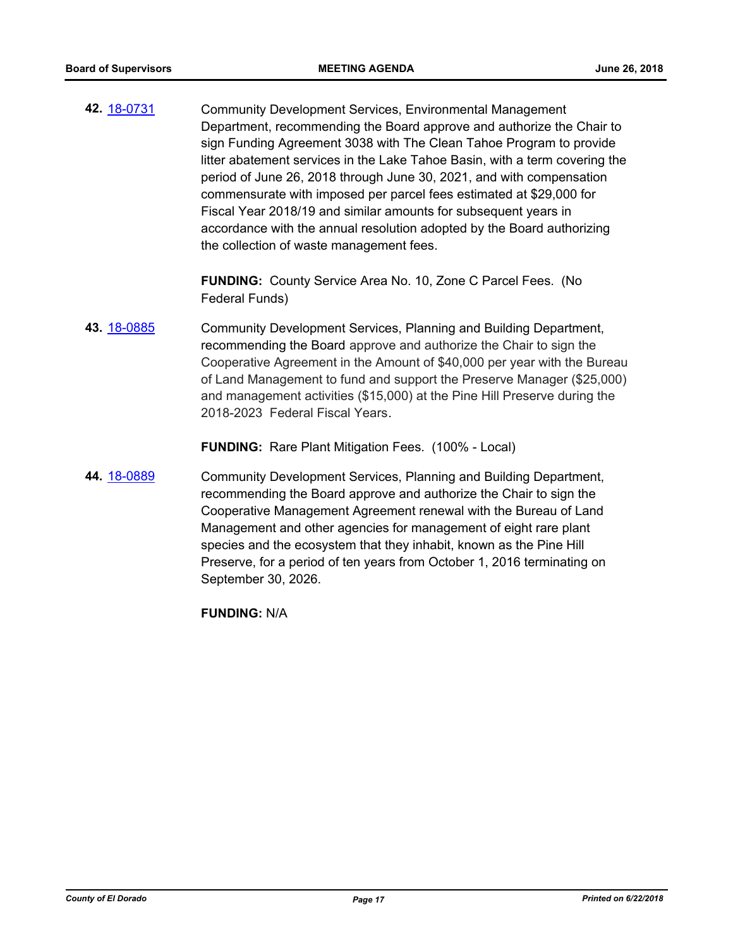**42.** [18-0731](http://eldorado.legistar.com/gateway.aspx?m=l&id=/matter.aspx?key=24078) Community Development Services, Environmental Management Department, recommending the Board approve and authorize the Chair to sign Funding Agreement 3038 with The Clean Tahoe Program to provide litter abatement services in the Lake Tahoe Basin, with a term covering the period of June 26, 2018 through June 30, 2021, and with compensation commensurate with imposed per parcel fees estimated at \$29,000 for Fiscal Year 2018/19 and similar amounts for subsequent years in accordance with the annual resolution adopted by the Board authorizing the collection of waste management fees.

> **FUNDING:** County Service Area No. 10, Zone C Parcel Fees. (No Federal Funds)

**43.** [18-0885](http://eldorado.legistar.com/gateway.aspx?m=l&id=/matter.aspx?key=24232) Community Development Services, Planning and Building Department, recommending the Board approve and authorize the Chair to sign the Cooperative Agreement in the Amount of \$40,000 per year with the Bureau of Land Management to fund and support the Preserve Manager (\$25,000) and management activities (\$15,000) at the Pine Hill Preserve during the 2018-2023 Federal Fiscal Years.

**FUNDING:** Rare Plant Mitigation Fees. (100% - Local)

**44.** [18-0889](http://eldorado.legistar.com/gateway.aspx?m=l&id=/matter.aspx?key=24236) Community Development Services, Planning and Building Department, recommending the Board approve and authorize the Chair to sign the Cooperative Management Agreement renewal with the Bureau of Land Management and other agencies for management of eight rare plant species and the ecosystem that they inhabit, known as the Pine Hill Preserve, for a period of ten years from October 1, 2016 terminating on September 30, 2026.

**FUNDING:** N/A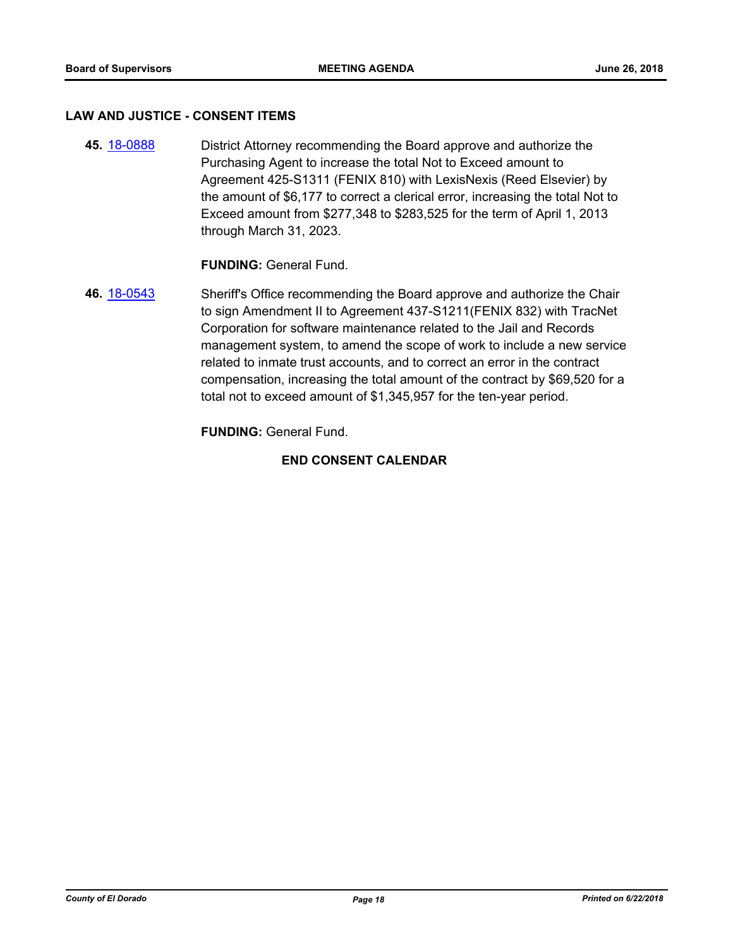#### **LAW AND JUSTICE - CONSENT ITEMS**

**45.** [18-0888](http://eldorado.legistar.com/gateway.aspx?m=l&id=/matter.aspx?key=24235) District Attorney recommending the Board approve and authorize the Purchasing Agent to increase the total Not to Exceed amount to Agreement 425-S1311 (FENIX 810) with LexisNexis (Reed Elsevier) by the amount of \$6,177 to correct a clerical error, increasing the total Not to Exceed amount from \$277,348 to \$283,525 for the term of April 1, 2013 through March 31, 2023.

**FUNDING:** General Fund.

**46.** [18-0543](http://eldorado.legistar.com/gateway.aspx?m=l&id=/matter.aspx?key=23888) Sheriff's Office recommending the Board approve and authorize the Chair to sign Amendment II to Agreement 437-S1211(FENIX 832) with TracNet Corporation for software maintenance related to the Jail and Records management system, to amend the scope of work to include a new service related to inmate trust accounts, and to correct an error in the contract compensation, increasing the total amount of the contract by \$69,520 for a total not to exceed amount of \$1,345,957 for the ten-year period.

**FUNDING:** General Fund.

## **END CONSENT CALENDAR**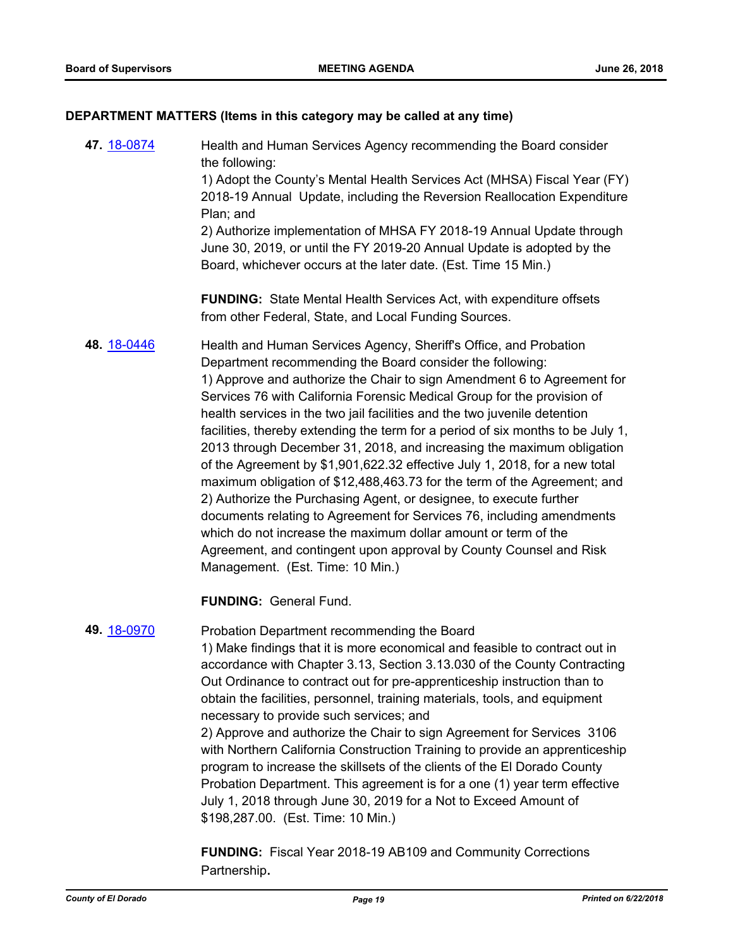#### **DEPARTMENT MATTERS (Items in this category may be called at any time)**

**47.** [18-0874](http://eldorado.legistar.com/gateway.aspx?m=l&id=/matter.aspx?key=24221) Health and Human Services Agency recommending the Board consider the following: 1) Adopt the County's Mental Health Services Act (MHSA) Fiscal Year (FY) 2018-19 Annual Update, including the Reversion Reallocation Expenditure Plan; and 2) Authorize implementation of MHSA FY 2018-19 Annual Update through June 30, 2019, or until the FY 2019-20 Annual Update is adopted by the Board, whichever occurs at the later date. (Est. Time 15 Min.) **FUNDING:** State Mental Health Services Act, with expenditure offsets from other Federal, State, and Local Funding Sources. **48.** [18-0446](http://eldorado.legistar.com/gateway.aspx?m=l&id=/matter.aspx?key=23791) Health and Human Services Agency, Sheriff's Office, and Probation Department recommending the Board consider the following: 1) Approve and authorize the Chair to sign Amendment 6 to Agreement for Services 76 with California Forensic Medical Group for the provision of health services in the two jail facilities and the two juvenile detention facilities, thereby extending the term for a period of six months to be July 1, 2013 through December 31, 2018, and increasing the maximum obligation of the Agreement by \$1,901,622.32 effective July 1, 2018, for a new total maximum obligation of \$12,488,463.73 for the term of the Agreement; and 2) Authorize the Purchasing Agent, or designee, to execute further documents relating to Agreement for Services 76, including amendments which do not increase the maximum dollar amount or term of the Agreement, and contingent upon approval by County Counsel and Risk Management. (Est. Time: 10 Min.)

**FUNDING:** General Fund.

#### **49.** [18-0970](http://eldorado.legistar.com/gateway.aspx?m=l&id=/matter.aspx?key=24318) Probation Department recommending the Board

1) Make findings that it is more economical and feasible to contract out in accordance with Chapter 3.13, Section 3.13.030 of the County Contracting Out Ordinance to contract out for pre-apprenticeship instruction than to obtain the facilities, personnel, training materials, tools, and equipment necessary to provide such services; and

2) Approve and authorize the Chair to sign Agreement for Services 3106 with Northern California Construction Training to provide an apprenticeship program to increase the skillsets of the clients of the El Dorado County Probation Department. This agreement is for a one (1) year term effective July 1, 2018 through June 30, 2019 for a Not to Exceed Amount of \$198,287.00. (Est. Time: 10 Min.)

**FUNDING:** Fiscal Year 2018-19 AB109 and Community Corrections Partnership**.**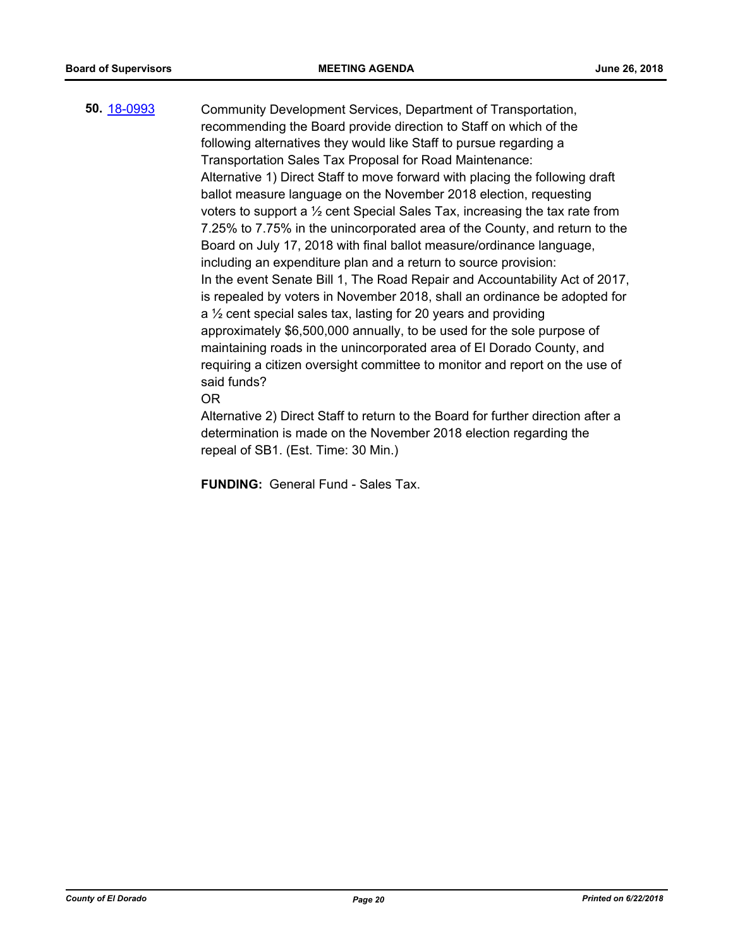**50.** [18-0993](http://eldorado.legistar.com/gateway.aspx?m=l&id=/matter.aspx?key=24342) Community Development Services, Department of Transportation, recommending the Board provide direction to Staff on which of the following alternatives they would like Staff to pursue regarding a Transportation Sales Tax Proposal for Road Maintenance: Alternative 1) Direct Staff to move forward with placing the following draft ballot measure language on the November 2018 election, requesting voters to support a ½ cent Special Sales Tax, increasing the tax rate from 7.25% to 7.75% in the unincorporated area of the County, and return to the Board on July 17, 2018 with final ballot measure/ordinance language, including an expenditure plan and a return to source provision: In the event Senate Bill 1, The Road Repair and Accountability Act of 2017, is repealed by voters in November 2018, shall an ordinance be adopted for a ½ cent special sales tax, lasting for 20 years and providing approximately \$6,500,000 annually, to be used for the sole purpose of maintaining roads in the unincorporated area of El Dorado County, and requiring a citizen oversight committee to monitor and report on the use of said funds? OR

> Alternative 2) Direct Staff to return to the Board for further direction after a determination is made on the November 2018 election regarding the repeal of SB1. (Est. Time: 30 Min.)

**FUNDING:** General Fund - Sales Tax.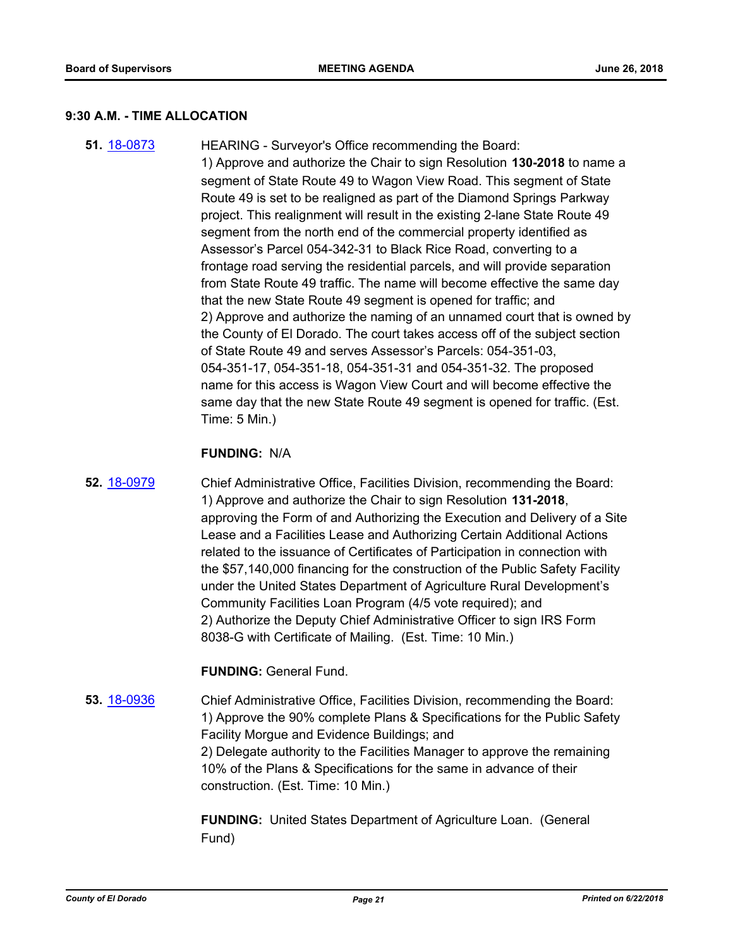#### **9:30 A.M. - TIME ALLOCATION**

**51.** [18-0873](http://eldorado.legistar.com/gateway.aspx?m=l&id=/matter.aspx?key=24220) HEARING - Surveyor's Office recommending the Board: 1) Approve and authorize the Chair to sign Resolution **130-2018** to name a segment of State Route 49 to Wagon View Road. This segment of State Route 49 is set to be realigned as part of the Diamond Springs Parkway project. This realignment will result in the existing 2-lane State Route 49 segment from the north end of the commercial property identified as Assessor's Parcel 054-342-31 to Black Rice Road, converting to a frontage road serving the residential parcels, and will provide separation from State Route 49 traffic. The name will become effective the same day that the new State Route 49 segment is opened for traffic; and 2) Approve and authorize the naming of an unnamed court that is owned by the County of El Dorado. The court takes access off of the subject section of State Route 49 and serves Assessor's Parcels: 054-351-03, 054-351-17, 054-351-18, 054-351-31 and 054-351-32. The proposed name for this access is Wagon View Court and will become effective the same day that the new State Route 49 segment is opened for traffic. (Est. Time: 5 Min.)

#### **FUNDING:** N/A

**52.** [18-0979](http://eldorado.legistar.com/gateway.aspx?m=l&id=/matter.aspx?key=24327) Chief Administrative Office, Facilities Division, recommending the Board: 1) Approve and authorize the Chair to sign Resolution **131-2018**, approving the Form of and Authorizing the Execution and Delivery of a Site Lease and a Facilities Lease and Authorizing Certain Additional Actions related to the issuance of Certificates of Participation in connection with the \$57,140,000 financing for the construction of the Public Safety Facility under the United States Department of Agriculture Rural Development's Community Facilities Loan Program (4/5 vote required); and 2) Authorize the Deputy Chief Administrative Officer to sign IRS Form 8038-G with Certificate of Mailing. (Est. Time: 10 Min.)

#### **FUNDING:** General Fund.

**53.** [18-0936](http://eldorado.legistar.com/gateway.aspx?m=l&id=/matter.aspx?key=24284) Chief Administrative Office, Facilities Division, recommending the Board: 1) Approve the 90% complete Plans & Specifications for the Public Safety Facility Morgue and Evidence Buildings; and 2) Delegate authority to the Facilities Manager to approve the remaining 10% of the Plans & Specifications for the same in advance of their construction. (Est. Time: 10 Min.)

> **FUNDING:** United States Department of Agriculture Loan. (General Fund)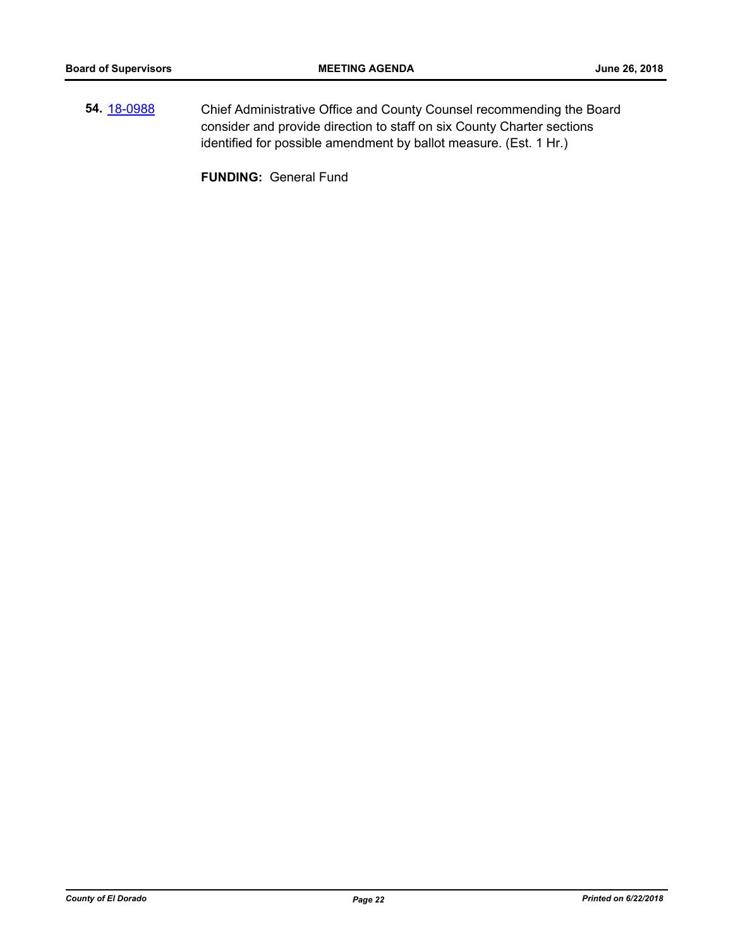**54.** [18-0988](http://eldorado.legistar.com/gateway.aspx?m=l&id=/matter.aspx?key=24336) Chief Administrative Office and County Counsel recommending the Board consider and provide direction to staff on six County Charter sections identified for possible amendment by ballot measure. (Est. 1 Hr.)

**FUNDING:** General Fund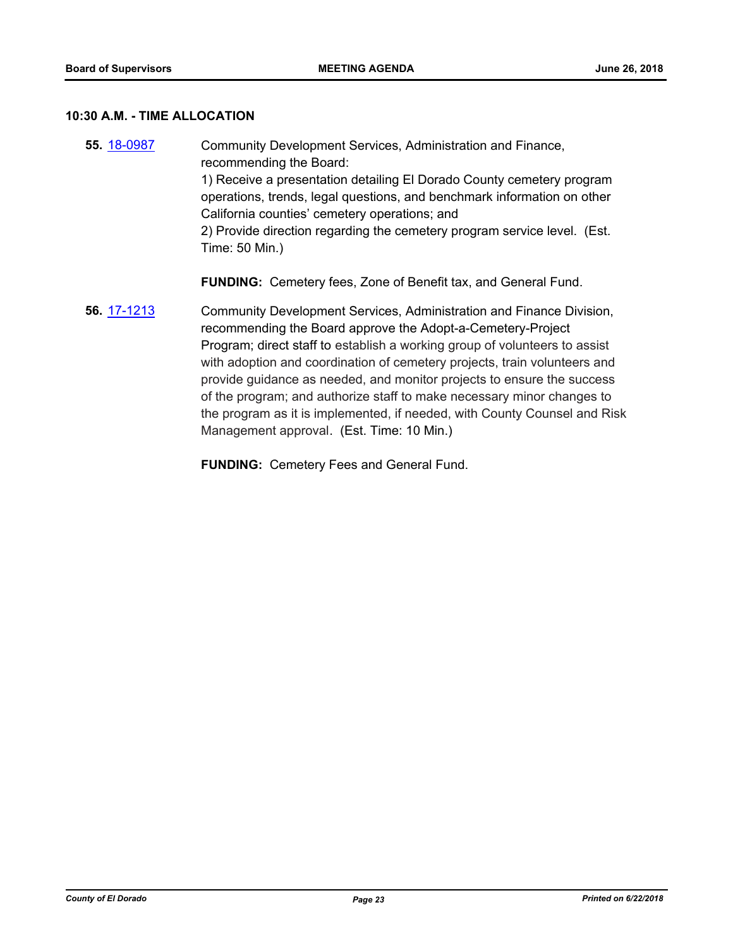# **10:30 A.M. - TIME ALLOCATION**

| 55. 18-0987 | Community Development Services, Administration and Finance,<br>recommending the Board:<br>1) Receive a presentation detailing El Dorado County cemetery program<br>operations, trends, legal questions, and benchmark information on other<br>California counties' cemetery operations; and<br>2) Provide direction regarding the cemetery program service level. (Est.<br>Time: 50 Min.)                                                                                                                                                                                    |  |
|-------------|------------------------------------------------------------------------------------------------------------------------------------------------------------------------------------------------------------------------------------------------------------------------------------------------------------------------------------------------------------------------------------------------------------------------------------------------------------------------------------------------------------------------------------------------------------------------------|--|
|             | <b>FUNDING:</b> Cemetery fees, Zone of Benefit tax, and General Fund.                                                                                                                                                                                                                                                                                                                                                                                                                                                                                                        |  |
| 56. 17-1213 | Community Development Services, Administration and Finance Division,<br>recommending the Board approve the Adopt-a-Cemetery-Project<br>Program; direct staff to establish a working group of volunteers to assist<br>with adoption and coordination of cemetery projects, train volunteers and<br>provide guidance as needed, and monitor projects to ensure the success<br>of the program; and authorize staff to make necessary minor changes to<br>the program as it is implemented, if needed, with County Counsel and Risk<br>Management approval. (Est. Time: 10 Min.) |  |

**FUNDING:** Cemetery Fees and General Fund.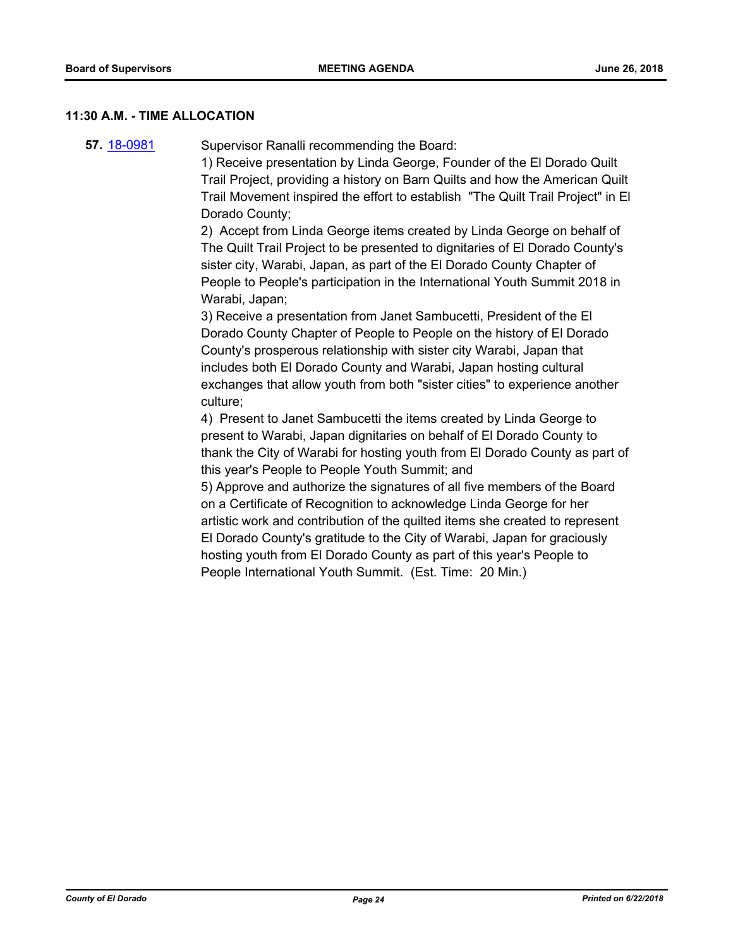#### **11:30 A.M. - TIME ALLOCATION**

**57.** [18-0981](http://eldorado.legistar.com/gateway.aspx?m=l&id=/matter.aspx?key=24329) Supervisor Ranalli recommending the Board:

1) Receive presentation by Linda George, Founder of the El Dorado Quilt Trail Project, providing a history on Barn Quilts and how the American Quilt Trail Movement inspired the effort to establish "The Quilt Trail Project" in El Dorado County;

2) Accept from Linda George items created by Linda George on behalf of The Quilt Trail Project to be presented to dignitaries of El Dorado County's sister city, Warabi, Japan, as part of the El Dorado County Chapter of People to People's participation in the International Youth Summit 2018 in Warabi, Japan;

3) Receive a presentation from Janet Sambucetti, President of the El Dorado County Chapter of People to People on the history of El Dorado County's prosperous relationship with sister city Warabi, Japan that includes both El Dorado County and Warabi, Japan hosting cultural exchanges that allow youth from both "sister cities" to experience another culture;

4) Present to Janet Sambucetti the items created by Linda George to present to Warabi, Japan dignitaries on behalf of El Dorado County to thank the City of Warabi for hosting youth from El Dorado County as part of this year's People to People Youth Summit; and

5) Approve and authorize the signatures of all five members of the Board on a Certificate of Recognition to acknowledge Linda George for her artistic work and contribution of the quilted items she created to represent El Dorado County's gratitude to the City of Warabi, Japan for graciously hosting youth from El Dorado County as part of this year's People to People International Youth Summit. (Est. Time: 20 Min.)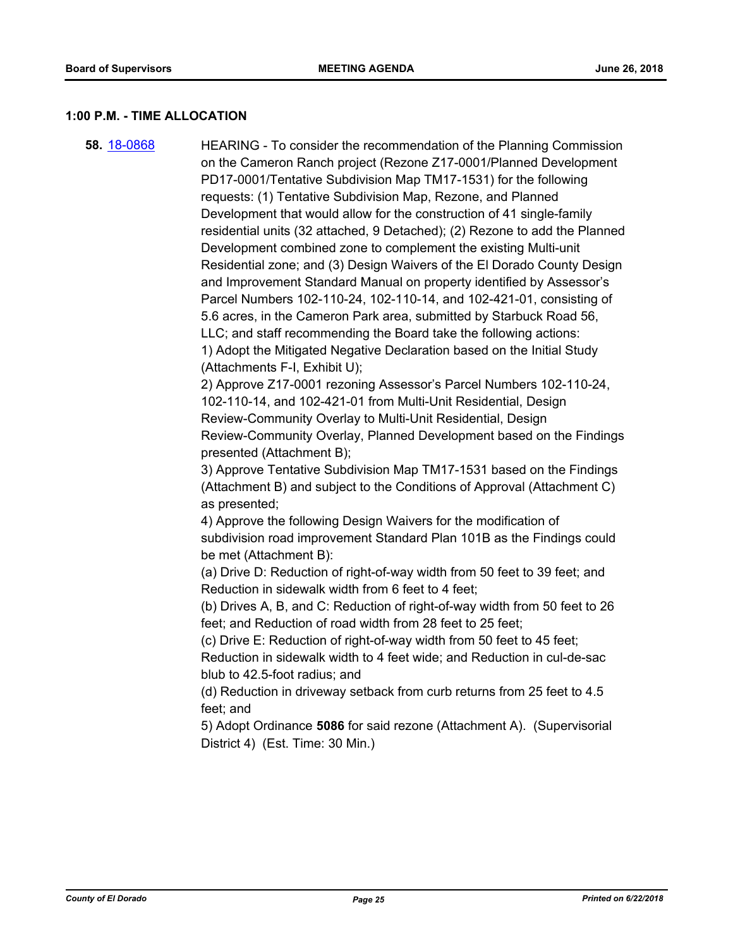#### **1:00 P.M. - TIME ALLOCATION**

**58.** [18-0868](http://eldorado.legistar.com/gateway.aspx?m=l&id=/matter.aspx?key=24215) HEARING - To consider the recommendation of the Planning Commission on the Cameron Ranch project (Rezone Z17-0001/Planned Development PD17-0001/Tentative Subdivision Map TM17-1531) for the following requests: (1) Tentative Subdivision Map, Rezone, and Planned Development that would allow for the construction of 41 single-family residential units (32 attached, 9 Detached); (2) Rezone to add the Planned Development combined zone to complement the existing Multi-unit Residential zone; and (3) Design Waivers of the El Dorado County Design and Improvement Standard Manual on property identified by Assessor's Parcel Numbers 102-110-24, 102-110-14, and 102-421-01, consisting of 5.6 acres, in the Cameron Park area, submitted by Starbuck Road 56, LLC; and staff recommending the Board take the following actions: 1) Adopt the Mitigated Negative Declaration based on the Initial Study (Attachments F-I, Exhibit U); 2) Approve Z17-0001 rezoning Assessor's Parcel Numbers 102-110-24, 102-110-14, and 102-421-01 from Multi-Unit Residential, Design Review-Community Overlay to Multi-Unit Residential, Design Review-Community Overlay, Planned Development based on the Findings presented (Attachment B); 3) Approve Tentative Subdivision Map TM17-1531 based on the Findings (Attachment B) and subject to the Conditions of Approval (Attachment C) as presented; 4) Approve the following Design Waivers for the modification of subdivision road improvement Standard Plan 101B as the Findings could be met (Attachment B): (a) Drive D: Reduction of right-of-way width from 50 feet to 39 feet; and Reduction in sidewalk width from 6 feet to 4 feet; (b) Drives A, B, and C: Reduction of right-of-way width from 50 feet to 26 feet; and Reduction of road width from 28 feet to 25 feet; (c) Drive E: Reduction of right-of-way width from 50 feet to 45 feet; Reduction in sidewalk width to 4 feet wide; and Reduction in cul-de-sac blub to 42.5-foot radius; and (d) Reduction in driveway setback from curb returns from 25 feet to 4.5 feet; and 5) Adopt Ordinance **5086** for said rezone (Attachment A). (Supervisorial

District 4) (Est. Time: 30 Min.)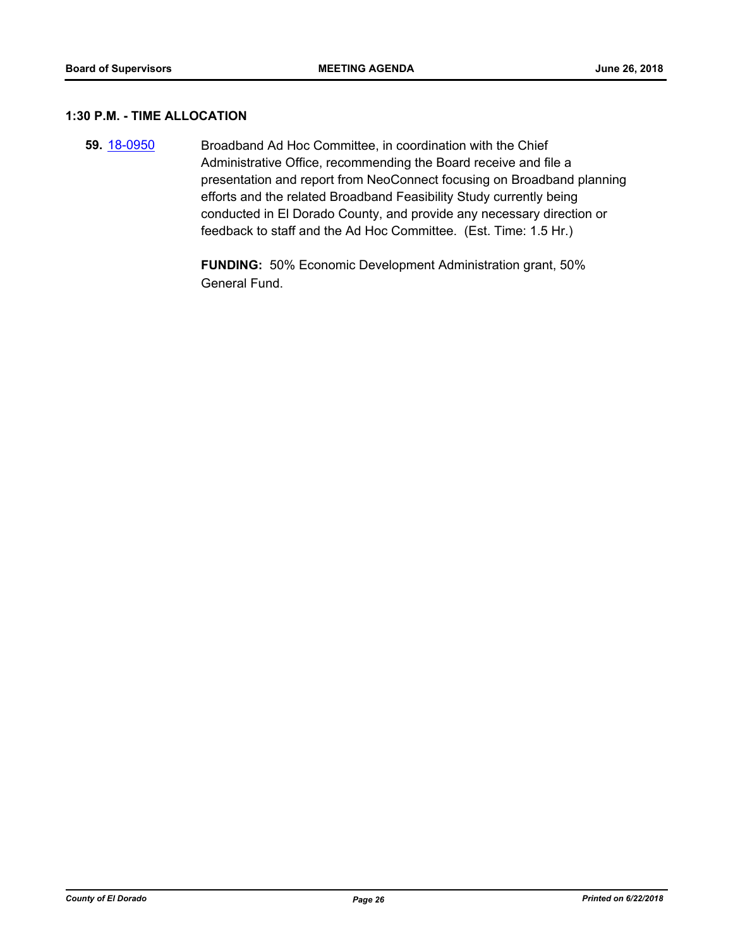## **1:30 P.M. - TIME ALLOCATION**

**59.** [18-0950](http://eldorado.legistar.com/gateway.aspx?m=l&id=/matter.aspx?key=24298) Broadband Ad Hoc Committee, in coordination with the Chief Administrative Office, recommending the Board receive and file a presentation and report from NeoConnect focusing on Broadband planning efforts and the related Broadband Feasibility Study currently being conducted in El Dorado County, and provide any necessary direction or feedback to staff and the Ad Hoc Committee. (Est. Time: 1.5 Hr.)

> **FUNDING:** 50% Economic Development Administration grant, 50% General Fund.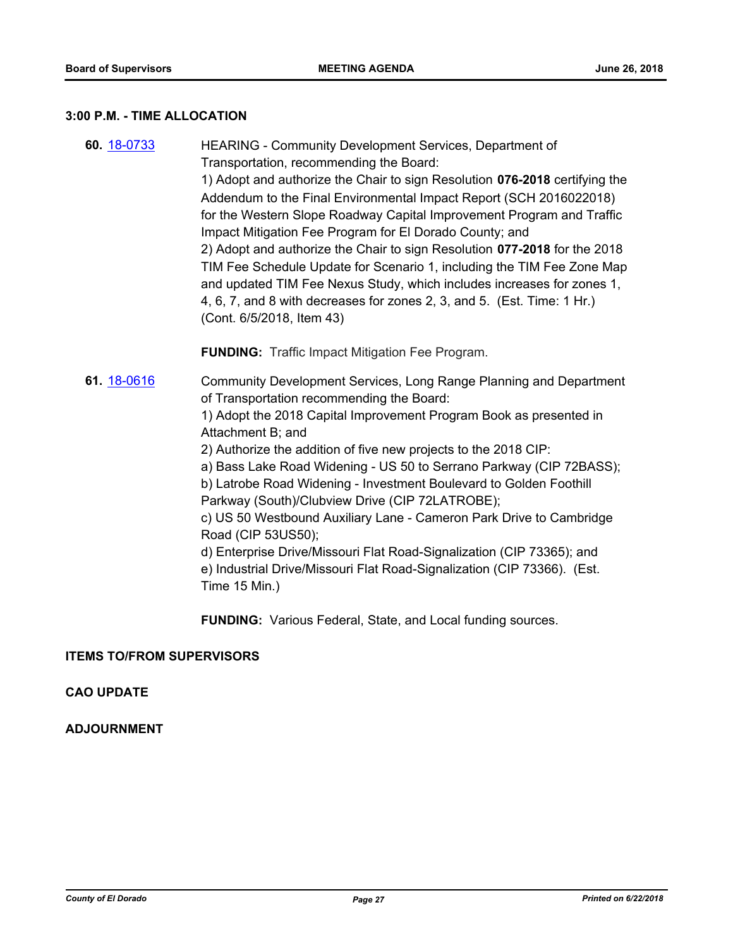# **3:00 P.M. - TIME ALLOCATION**

| 60. 18-0733 | HEARING - Community Development Services, Department of<br>Transportation, recommending the Board:<br>1) Adopt and authorize the Chair to sign Resolution 076-2018 certifying the<br>Addendum to the Final Environmental Impact Report (SCH 2016022018)<br>for the Western Slope Roadway Capital Improvement Program and Traffic<br>Impact Mitigation Fee Program for El Dorado County; and<br>2) Adopt and authorize the Chair to sign Resolution 077-2018 for the 2018<br>TIM Fee Schedule Update for Scenario 1, including the TIM Fee Zone Map<br>and updated TIM Fee Nexus Study, which includes increases for zones 1,<br>4, 6, 7, and 8 with decreases for zones 2, 3, and 5. (Est. Time: 1 Hr.)<br>(Cont. 6/5/2018, Item 43)<br><b>FUNDING:</b> Traffic Impact Mitigation Fee Program. |
|-------------|------------------------------------------------------------------------------------------------------------------------------------------------------------------------------------------------------------------------------------------------------------------------------------------------------------------------------------------------------------------------------------------------------------------------------------------------------------------------------------------------------------------------------------------------------------------------------------------------------------------------------------------------------------------------------------------------------------------------------------------------------------------------------------------------|
| 61. 18-0616 | Community Development Services, Long Range Planning and Department<br>of Transportation recommending the Board:<br>1) Adopt the 2018 Capital Improvement Program Book as presented in<br>Attachment B; and<br>2) Authorize the addition of five new projects to the 2018 CIP:<br>a) Bass Lake Road Widening - US 50 to Serrano Parkway (CIP 72BASS);<br>b) Latrobe Road Widening - Investment Boulevard to Golden Foothill<br>Parkway (South)/Clubview Drive (CIP 72LATROBE);<br>c) US 50 Westbound Auxiliary Lane - Cameron Park Drive to Cambridge<br>Road (CIP 53US50);<br>d) Enterprise Drive/Missouri Flat Road-Signalization (CIP 73365); and<br>e) Industrial Drive/Missouri Flat Road-Signalization (CIP 73366). (Est.<br>Time 15 Min.)                                                |

**FUNDING:** Various Federal, State, and Local funding sources.

# **ITEMS TO/FROM SUPERVISORS**

# **CAO UPDATE**

# **ADJOURNMENT**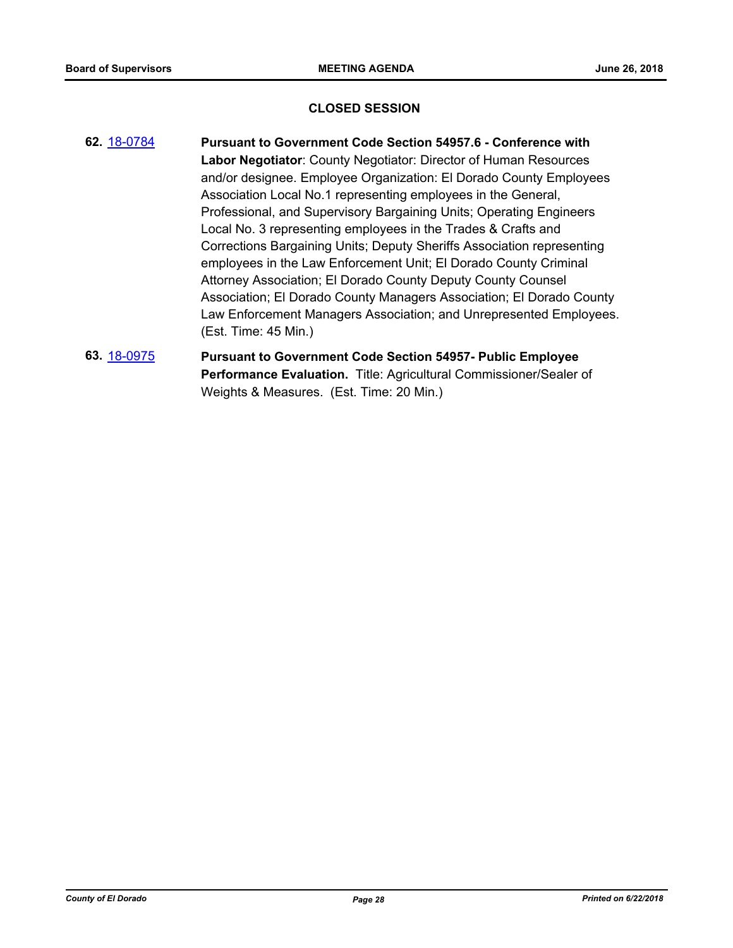#### **CLOSED SESSION**

- **62.** [18-0784](http://eldorado.legistar.com/gateway.aspx?m=l&id=/matter.aspx?key=24131) **Pursuant to Government Code Section 54957.6 Conference with Labor Negotiator**: County Negotiator: Director of Human Resources and/or designee. Employee Organization: El Dorado County Employees Association Local No.1 representing employees in the General, Professional, and Supervisory Bargaining Units; Operating Engineers Local No. 3 representing employees in the Trades & Crafts and Corrections Bargaining Units; Deputy Sheriffs Association representing employees in the Law Enforcement Unit; El Dorado County Criminal Attorney Association; El Dorado County Deputy County Counsel Association; El Dorado County Managers Association; El Dorado County Law Enforcement Managers Association; and Unrepresented Employees. (Est. Time: 45 Min.)
- **63.** [18-0975](http://eldorado.legistar.com/gateway.aspx?m=l&id=/matter.aspx?key=24323) **Pursuant to Government Code Section 54957- Public Employee Performance Evaluation.** Title: Agricultural Commissioner/Sealer of Weights & Measures. (Est. Time: 20 Min.)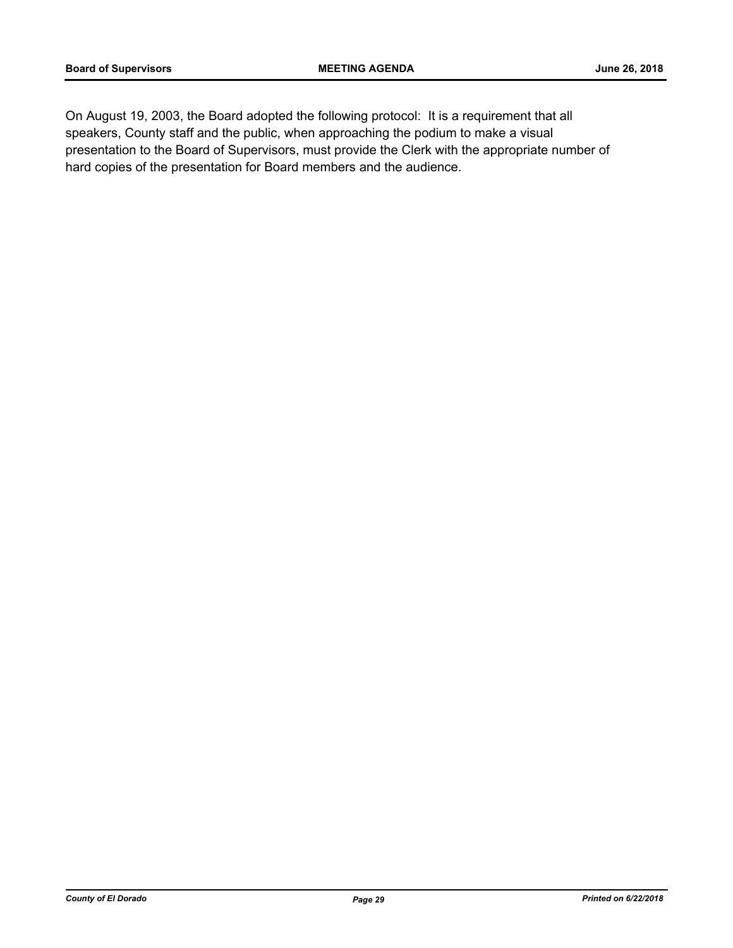On August 19, 2003, the Board adopted the following protocol: It is a requirement that all speakers, County staff and the public, when approaching the podium to make a visual presentation to the Board of Supervisors, must provide the Clerk with the appropriate number of hard copies of the presentation for Board members and the audience.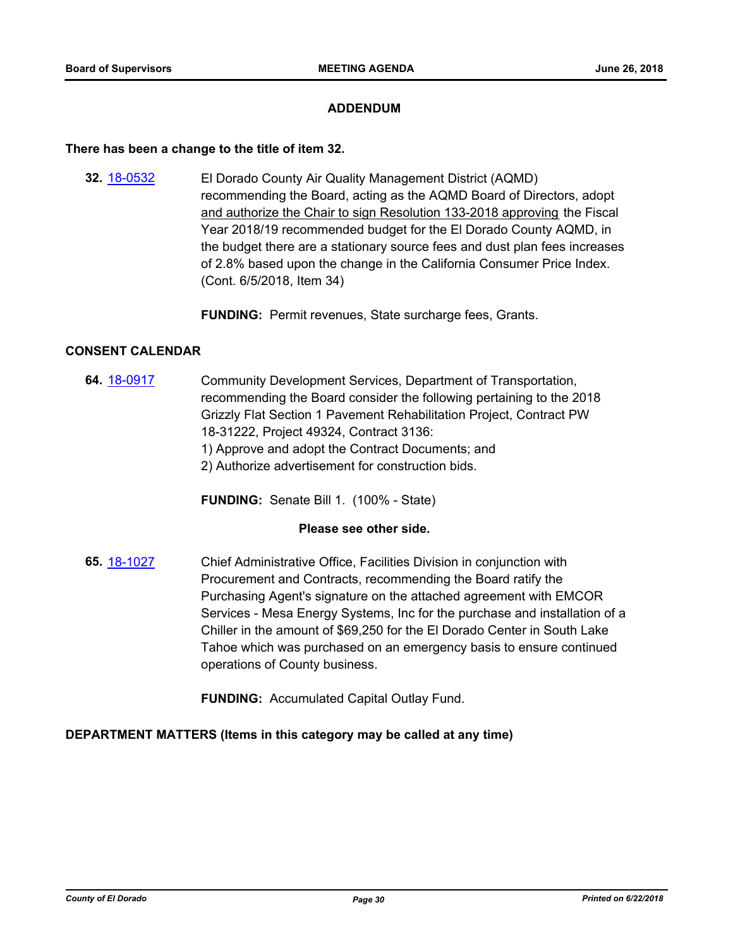#### **ADDENDUM**

#### **There has been a change to the title of item 32.**

**32.** [18-0532](http://eldorado.legistar.com/gateway.aspx?m=l&id=/matter.aspx?key=23877) El Dorado County Air Quality Management District (AQMD) recommending the Board, acting as the AQMD Board of Directors, adopt and authorize the Chair to sign Resolution 133-2018 approving the Fiscal Year 2018/19 recommended budget for the El Dorado County AQMD, in the budget there are a stationary source fees and dust plan fees increases of 2.8% based upon the change in the California Consumer Price Index. (Cont. 6/5/2018, Item 34)

**FUNDING:** Permit revenues, State surcharge fees, Grants.

#### **CONSENT CALENDAR**

**64.** [18-0917](http://eldorado.legistar.com/gateway.aspx?m=l&id=/matter.aspx?key=24265) Community Development Services, Department of Transportation, recommending the Board consider the following pertaining to the 2018 Grizzly Flat Section 1 Pavement Rehabilitation Project, Contract PW 18-31222, Project 49324, Contract 3136: 1) Approve and adopt the Contract Documents; and

2) Authorize advertisement for construction bids.

**FUNDING:** Senate Bill 1. (100% - State)

## **Please see other side.**

**65.** [18-1027](http://eldorado.legistar.com/gateway.aspx?m=l&id=/matter.aspx?key=24376) Chief Administrative Office, Facilities Division in conjunction with Procurement and Contracts, recommending the Board ratify the Purchasing Agent's signature on the attached agreement with EMCOR Services - Mesa Energy Systems, Inc for the purchase and installation of a Chiller in the amount of \$69,250 for the El Dorado Center in South Lake Tahoe which was purchased on an emergency basis to ensure continued operations of County business.

**FUNDING:** Accumulated Capital Outlay Fund.

#### **DEPARTMENT MATTERS (Items in this category may be called at any time)**